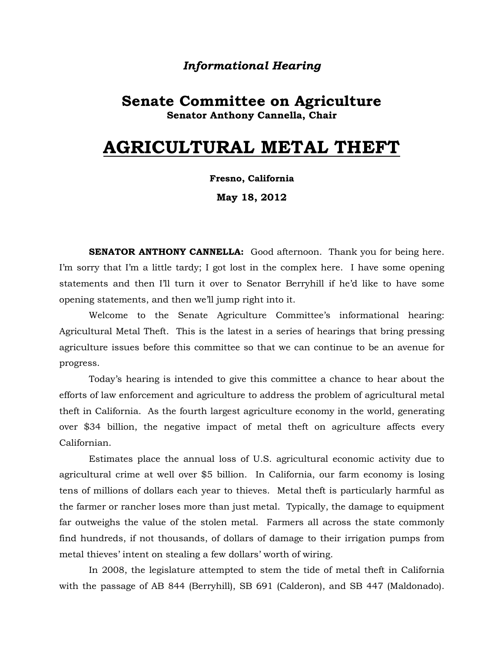# *Informational Hearing*

# **Senate Committee on Agriculture Senator Anthony Cannella, Chair**

# **AGRICULTURAL METAL THEFT**

#### **Fresno, California**

**May 18, 2012**

**SENATOR ANTHONY CANNELLA:** Good afternoon. Thank you for being here. I'm sorry that I'm a little tardy; I got lost in the complex here. I have some opening statements and then I'll turn it over to Senator Berryhill if he'd like to have some opening statements, and then we'll jump right into it.

Welcome to the Senate Agriculture Committee's informational hearing: Agricultural Metal Theft. This is the latest in a series of hearings that bring pressing agriculture issues before this committee so that we can continue to be an avenue for progress.

Today's hearing is intended to give this committee a chance to hear about the efforts of law enforcement and agriculture to address the problem of agricultural metal theft in California. As the fourth largest agriculture economy in the world, generating over \$34 billion, the negative impact of metal theft on agriculture affects every Californian.

Estimates place the annual loss of U.S. agricultural economic activity due to agricultural crime at well over \$5 billion. In California, our farm economy is losing tens of millions of dollars each year to thieves. Metal theft is particularly harmful as the farmer or rancher loses more than just metal. Typically, the damage to equipment far outweighs the value of the stolen metal. Farmers all across the state commonly find hundreds, if not thousands, of dollars of damage to their irrigation pumps from metal thieves' intent on stealing a few dollars' worth of wiring.

In 2008, the legislature attempted to stem the tide of metal theft in California with the passage of AB 844 (Berryhill), SB 691 (Calderon), and SB 447 (Maldonado).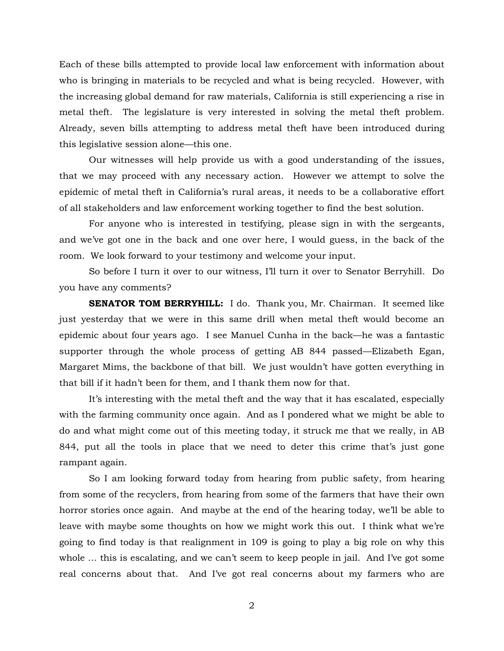Each of these bills attempted to provide local law enforcement with information about who is bringing in materials to be recycled and what is being recycled. However, with the increasing global demand for raw materials, California is still experiencing a rise in metal theft. The legislature is very interested in solving the metal theft problem. Already, seven bills attempting to address metal theft have been introduced during this legislative session alone—this one.

Our witnesses will help provide us with a good understanding of the issues, that we may proceed with any necessary action. However we attempt to solve the epidemic of metal theft in California's rural areas, it needs to be a collaborative effort of all stakeholders and law enforcement working together to find the best solution.

For anyone who is interested in testifying, please sign in with the sergeants, and we've got one in the back and one over here, I would guess, in the back of the room. We look forward to your testimony and welcome your input.

So before I turn it over to our witness, I'll turn it over to Senator Berryhill. Do you have any comments?

**SENATOR TOM BERRYHILL:** I do. Thank you, Mr. Chairman. It seemed like just yesterday that we were in this same drill when metal theft would become an epidemic about four years ago. I see Manuel Cunha in the back—he was a fantastic supporter through the whole process of getting AB 844 passed—Elizabeth Egan, Margaret Mims, the backbone of that bill. We just wouldn't have gotten everything in that bill if it hadn't been for them, and I thank them now for that.

It's interesting with the metal theft and the way that it has escalated, especially with the farming community once again. And as I pondered what we might be able to do and what might come out of this meeting today, it struck me that we really, in AB 844, put all the tools in place that we need to deter this crime that's just gone rampant again.

So I am looking forward today from hearing from public safety, from hearing from some of the recyclers, from hearing from some of the farmers that have their own horror stories once again. And maybe at the end of the hearing today, we'll be able to leave with maybe some thoughts on how we might work this out. I think what we're going to find today is that realignment in 109 is going to play a big role on why this whole ... this is escalating, and we can't seem to keep people in jail. And I've got some real concerns about that. And I've got real concerns about my farmers who are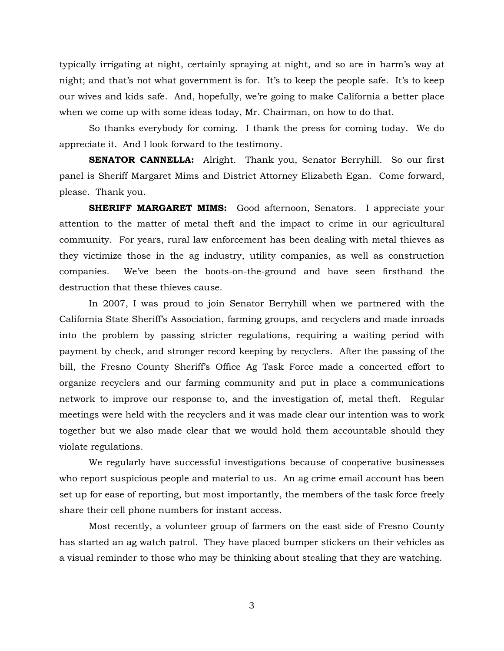typically irrigating at night, certainly spraying at night, and so are in harm's way at night; and that's not what government is for. It's to keep the people safe. It's to keep our wives and kids safe. And, hopefully, we're going to make California a better place when we come up with some ideas today, Mr. Chairman, on how to do that.

So thanks everybody for coming. I thank the press for coming today. We do appreciate it. And I look forward to the testimony.

**SENATOR CANNELLA:** Alright. Thank you, Senator Berryhill. So our first panel is Sheriff Margaret Mims and District Attorney Elizabeth Egan. Come forward, please. Thank you.

**SHERIFF MARGARET MIMS:** Good afternoon, Senators. I appreciate your attention to the matter of metal theft and the impact to crime in our agricultural community. For years, rural law enforcement has been dealing with metal thieves as they victimize those in the ag industry, utility companies, as well as construction companies. We've been the boots-on-the-ground and have seen firsthand the destruction that these thieves cause.

In 2007, I was proud to join Senator Berryhill when we partnered with the California State Sheriff's Association, farming groups, and recyclers and made inroads into the problem by passing stricter regulations, requiring a waiting period with payment by check, and stronger record keeping by recyclers. After the passing of the bill, the Fresno County Sheriff's Office Ag Task Force made a concerted effort to organize recyclers and our farming community and put in place a communications network to improve our response to, and the investigation of, metal theft. Regular meetings were held with the recyclers and it was made clear our intention was to work together but we also made clear that we would hold them accountable should they violate regulations.

We regularly have successful investigations because of cooperative businesses who report suspicious people and material to us. An ag crime email account has been set up for ease of reporting, but most importantly, the members of the task force freely share their cell phone numbers for instant access.

Most recently, a volunteer group of farmers on the east side of Fresno County has started an ag watch patrol. They have placed bumper stickers on their vehicles as a visual reminder to those who may be thinking about stealing that they are watching.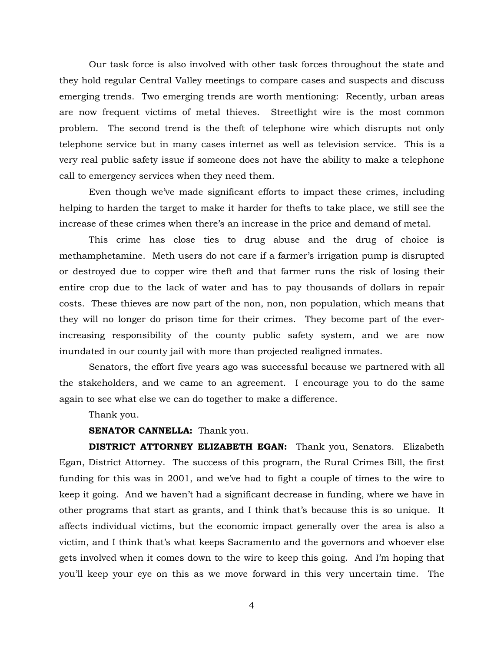Our task force is also involved with other task forces throughout the state and they hold regular Central Valley meetings to compare cases and suspects and discuss emerging trends. Two emerging trends are worth mentioning: Recently, urban areas are now frequent victims of metal thieves. Streetlight wire is the most common problem. The second trend is the theft of telephone wire which disrupts not only telephone service but in many cases internet as well as television service. This is a very real public safety issue if someone does not have the ability to make a telephone call to emergency services when they need them.

Even though we've made significant efforts to impact these crimes, including helping to harden the target to make it harder for thefts to take place, we still see the increase of these crimes when there's an increase in the price and demand of metal.

This crime has close ties to drug abuse and the drug of choice is methamphetamine. Meth users do not care if a farmer's irrigation pump is disrupted or destroyed due to copper wire theft and that farmer runs the risk of losing their entire crop due to the lack of water and has to pay thousands of dollars in repair costs. These thieves are now part of the non, non, non population, which means that they will no longer do prison time for their crimes. They become part of the everincreasing responsibility of the county public safety system, and we are now inundated in our county jail with more than projected realigned inmates.

Senators, the effort five years ago was successful because we partnered with all the stakeholders, and we came to an agreement. I encourage you to do the same again to see what else we can do together to make a difference.

Thank you.

## **SENATOR CANNELLA:** Thank you.

**DISTRICT ATTORNEY ELIZABETH EGAN:** Thank you, Senators. Elizabeth Egan, District Attorney. The success of this program, the Rural Crimes Bill, the first funding for this was in 2001, and we've had to fight a couple of times to the wire to keep it going. And we haven't had a significant decrease in funding, where we have in other programs that start as grants, and I think that's because this is so unique. It affects individual victims, but the economic impact generally over the area is also a victim, and I think that's what keeps Sacramento and the governors and whoever else gets involved when it comes down to the wire to keep this going. And I'm hoping that you'll keep your eye on this as we move forward in this very uncertain time. The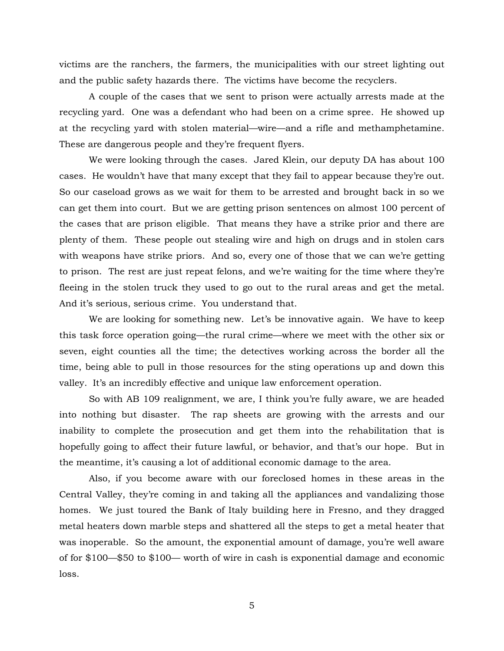victims are the ranchers, the farmers, the municipalities with our street lighting out and the public safety hazards there. The victims have become the recyclers.

A couple of the cases that we sent to prison were actually arrests made at the recycling yard. One was a defendant who had been on a crime spree. He showed up at the recycling yard with stolen material—wire—and a rifle and methamphetamine. These are dangerous people and they're frequent flyers.

We were looking through the cases. Jared Klein, our deputy DA has about 100 cases. He wouldn't have that many except that they fail to appear because they're out. So our caseload grows as we wait for them to be arrested and brought back in so we can get them into court. But we are getting prison sentences on almost 100 percent of the cases that are prison eligible. That means they have a strike prior and there are plenty of them. These people out stealing wire and high on drugs and in stolen cars with weapons have strike priors. And so, every one of those that we can we're getting to prison. The rest are just repeat felons, and we're waiting for the time where they're fleeing in the stolen truck they used to go out to the rural areas and get the metal. And it's serious, serious crime. You understand that.

We are looking for something new. Let's be innovative again. We have to keep this task force operation going—the rural crime—where we meet with the other six or seven, eight counties all the time; the detectives working across the border all the time, being able to pull in those resources for the sting operations up and down this valley. It's an incredibly effective and unique law enforcement operation.

So with AB 109 realignment, we are, I think you're fully aware, we are headed into nothing but disaster. The rap sheets are growing with the arrests and our inability to complete the prosecution and get them into the rehabilitation that is hopefully going to affect their future lawful, or behavior, and that's our hope. But in the meantime, it's causing a lot of additional economic damage to the area.

Also, if you become aware with our foreclosed homes in these areas in the Central Valley, they're coming in and taking all the appliances and vandalizing those homes. We just toured the Bank of Italy building here in Fresno, and they dragged metal heaters down marble steps and shattered all the steps to get a metal heater that was inoperable. So the amount, the exponential amount of damage, you're well aware of for \$100—\$50 to \$100— worth of wire in cash is exponential damage and economic loss.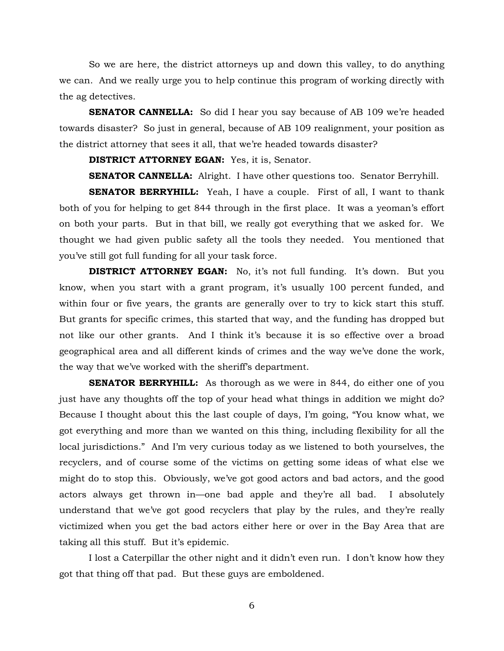So we are here, the district attorneys up and down this valley, to do anything we can. And we really urge you to help continue this program of working directly with the ag detectives.

**SENATOR CANNELLA:** So did I hear you say because of AB 109 we're headed towards disaster? So just in general, because of AB 109 realignment, your position as the district attorney that sees it all, that we're headed towards disaster?

**DISTRICT ATTORNEY EGAN:** Yes, it is, Senator.

**SENATOR CANNELLA:** Alright. I have other questions too. Senator Berryhill.

**SENATOR BERRYHILL:** Yeah, I have a couple. First of all, I want to thank both of you for helping to get 844 through in the first place. It was a yeoman's effort on both your parts. But in that bill, we really got everything that we asked for. We thought we had given public safety all the tools they needed. You mentioned that you've still got full funding for all your task force.

**DISTRICT ATTORNEY EGAN:** No, it's not full funding. It's down. But you know, when you start with a grant program, it's usually 100 percent funded, and within four or five years, the grants are generally over to try to kick start this stuff. But grants for specific crimes, this started that way, and the funding has dropped but not like our other grants. And I think it's because it is so effective over a broad geographical area and all different kinds of crimes and the way we've done the work, the way that we've worked with the sheriff's department.

**SENATOR BERRYHILL:** As thorough as we were in 844, do either one of you just have any thoughts off the top of your head what things in addition we might do? Because I thought about this the last couple of days, I'm going, "You know what, we got everything and more than we wanted on this thing, including flexibility for all the local jurisdictions." And I'm very curious today as we listened to both yourselves, the recyclers, and of course some of the victims on getting some ideas of what else we might do to stop this. Obviously, we've got good actors and bad actors, and the good actors always get thrown in—one bad apple and they're all bad. I absolutely understand that we've got good recyclers that play by the rules, and they're really victimized when you get the bad actors either here or over in the Bay Area that are taking all this stuff. But it's epidemic.

I lost a Caterpillar the other night and it didn't even run. I don't know how they got that thing off that pad. But these guys are emboldened.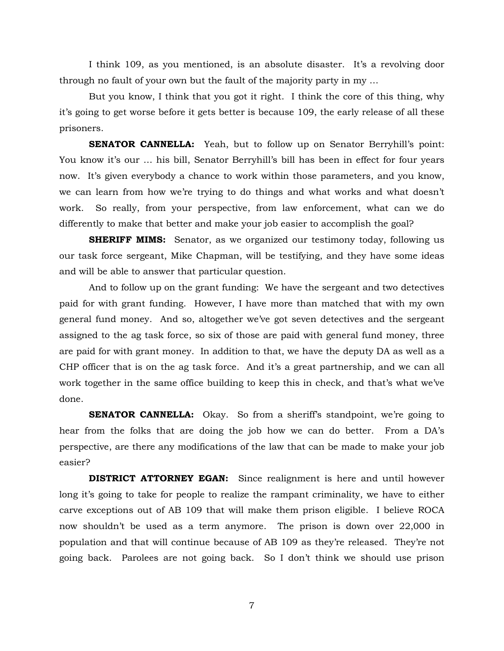I think 109, as you mentioned, is an absolute disaster. It's a revolving door through no fault of your own but the fault of the majority party in my …

But you know, I think that you got it right. I think the core of this thing, why it's going to get worse before it gets better is because 109, the early release of all these prisoners.

**SENATOR CANNELLA:** Yeah, but to follow up on Senator Berryhill's point: You know it's our … his bill, Senator Berryhill's bill has been in effect for four years now. It's given everybody a chance to work within those parameters, and you know, we can learn from how we're trying to do things and what works and what doesn't work. So really, from your perspective, from law enforcement, what can we do differently to make that better and make your job easier to accomplish the goal?

**SHERIFF MIMS:** Senator, as we organized our testimony today, following us our task force sergeant, Mike Chapman, will be testifying, and they have some ideas and will be able to answer that particular question.

And to follow up on the grant funding: We have the sergeant and two detectives paid for with grant funding. However, I have more than matched that with my own general fund money. And so, altogether we've got seven detectives and the sergeant assigned to the ag task force, so six of those are paid with general fund money, three are paid for with grant money. In addition to that, we have the deputy DA as well as a CHP officer that is on the ag task force. And it's a great partnership, and we can all work together in the same office building to keep this in check, and that's what we've done.

**SENATOR CANNELLA:** Okay. So from a sheriff's standpoint, we're going to hear from the folks that are doing the job how we can do better. From a DA's perspective, are there any modifications of the law that can be made to make your job easier?

**DISTRICT ATTORNEY EGAN:** Since realignment is here and until however long it's going to take for people to realize the rampant criminality, we have to either carve exceptions out of AB 109 that will make them prison eligible. I believe ROCA now shouldn't be used as a term anymore. The prison is down over 22,000 in population and that will continue because of AB 109 as they're released. They're not going back. Parolees are not going back. So I don't think we should use prison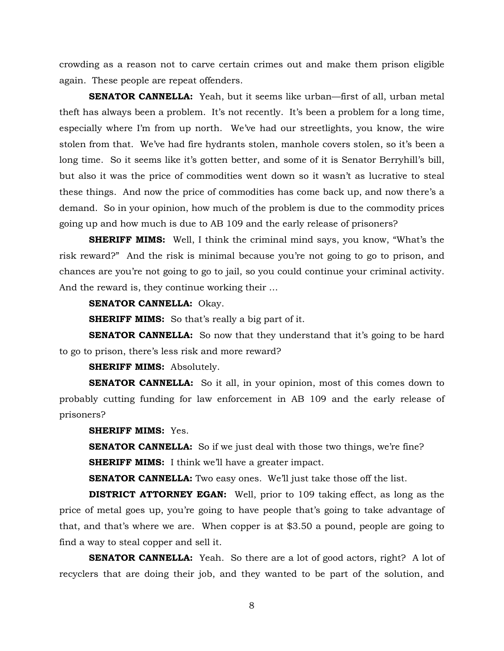crowding as a reason not to carve certain crimes out and make them prison eligible again. These people are repeat offenders.

**SENATOR CANNELLA:** Yeah, but it seems like urban—first of all, urban metal theft has always been a problem. It's not recently. It's been a problem for a long time, especially where I'm from up north. We've had our streetlights, you know, the wire stolen from that. We've had fire hydrants stolen, manhole covers stolen, so it's been a long time. So it seems like it's gotten better, and some of it is Senator Berryhill's bill, but also it was the price of commodities went down so it wasn't as lucrative to steal these things. And now the price of commodities has come back up, and now there's a demand. So in your opinion, how much of the problem is due to the commodity prices going up and how much is due to AB 109 and the early release of prisoners?

**SHERIFF MIMS:** Well, I think the criminal mind says, you know, "What's the risk reward?" And the risk is minimal because you're not going to go to prison, and chances are you're not going to go to jail, so you could continue your criminal activity. And the reward is, they continue working their …

# **SENATOR CANNELLA:** Okay.

**SHERIFF MIMS:** So that's really a big part of it.

**SENATOR CANNELLA:** So now that they understand that it's going to be hard to go to prison, there's less risk and more reward?

#### **SHERIFF MIMS:** Absolutely.

**SENATOR CANNELLA:** So it all, in your opinion, most of this comes down to probably cutting funding for law enforcement in AB 109 and the early release of prisoners?

# **SHERIFF MIMS:** Yes.

**SENATOR CANNELLA:** So if we just deal with those two things, we're fine? **SHERIFF MIMS:** I think we'll have a greater impact.

**SENATOR CANNELLA:** Two easy ones. We'll just take those off the list.

**DISTRICT ATTORNEY EGAN:** Well, prior to 109 taking effect, as long as the price of metal goes up, you're going to have people that's going to take advantage of that, and that's where we are. When copper is at \$3.50 a pound, people are going to find a way to steal copper and sell it.

**SENATOR CANNELLA:** Yeah. So there are a lot of good actors, right? A lot of recyclers that are doing their job, and they wanted to be part of the solution, and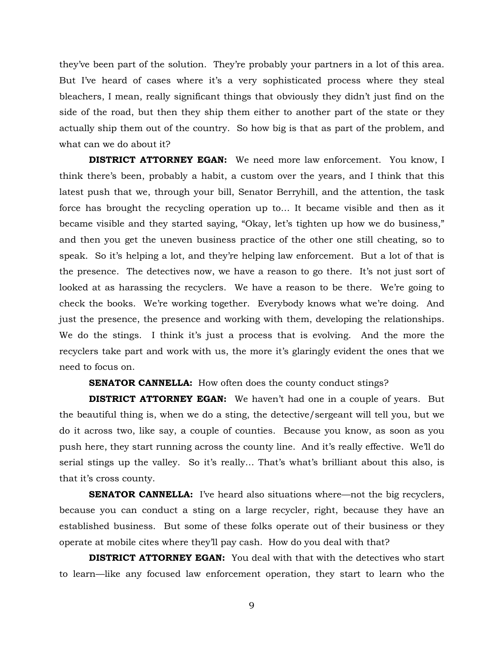they've been part of the solution. They're probably your partners in a lot of this area. But I've heard of cases where it's a very sophisticated process where they steal bleachers, I mean, really significant things that obviously they didn't just find on the side of the road, but then they ship them either to another part of the state or they actually ship them out of the country. So how big is that as part of the problem, and what can we do about it?

**DISTRICT ATTORNEY EGAN:** We need more law enforcement. You know, I think there's been, probably a habit, a custom over the years, and I think that this latest push that we, through your bill, Senator Berryhill, and the attention, the task force has brought the recycling operation up to… It became visible and then as it became visible and they started saying, "Okay, let's tighten up how we do business," and then you get the uneven business practice of the other one still cheating, so to speak. So it's helping a lot, and they're helping law enforcement. But a lot of that is the presence. The detectives now, we have a reason to go there. It's not just sort of looked at as harassing the recyclers. We have a reason to be there. We're going to check the books. We're working together. Everybody knows what we're doing. And just the presence, the presence and working with them, developing the relationships. We do the stings. I think it's just a process that is evolving. And the more the recyclers take part and work with us, the more it's glaringly evident the ones that we need to focus on.

## **SENATOR CANNELLA:** How often does the county conduct stings?

**DISTRICT ATTORNEY EGAN:** We haven't had one in a couple of years. But the beautiful thing is, when we do a sting, the detective/sergeant will tell you, but we do it across two, like say, a couple of counties. Because you know, as soon as you push here, they start running across the county line. And it's really effective. We'll do serial stings up the valley. So it's really… That's what's brilliant about this also, is that it's cross county.

**SENATOR CANNELLA:** I've heard also situations where—not the big recyclers, because you can conduct a sting on a large recycler, right, because they have an established business. But some of these folks operate out of their business or they operate at mobile cites where they'll pay cash. How do you deal with that?

**DISTRICT ATTORNEY EGAN:** You deal with that with the detectives who start to learn—like any focused law enforcement operation, they start to learn who the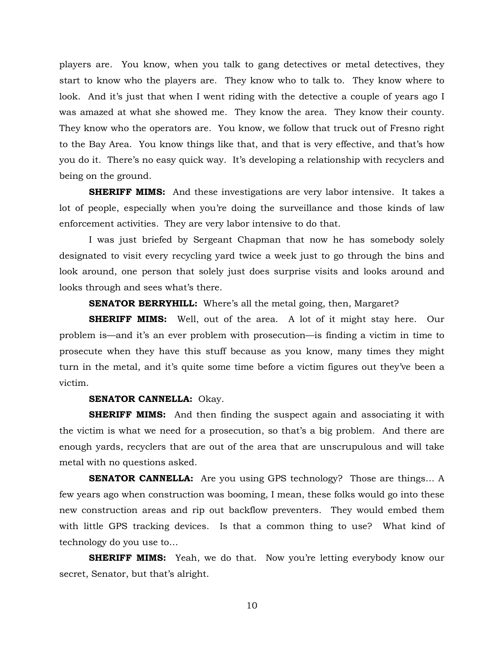players are. You know, when you talk to gang detectives or metal detectives, they start to know who the players are. They know who to talk to. They know where to look. And it's just that when I went riding with the detective a couple of years ago I was amazed at what she showed me. They know the area. They know their county. They know who the operators are. You know, we follow that truck out of Fresno right to the Bay Area. You know things like that, and that is very effective, and that's how you do it. There's no easy quick way. It's developing a relationship with recyclers and being on the ground.

**SHERIFF MIMS:** And these investigations are very labor intensive. It takes a lot of people, especially when you're doing the surveillance and those kinds of law enforcement activities. They are very labor intensive to do that.

I was just briefed by Sergeant Chapman that now he has somebody solely designated to visit every recycling yard twice a week just to go through the bins and look around, one person that solely just does surprise visits and looks around and looks through and sees what's there.

**SENATOR BERRYHILL:** Where's all the metal going, then, Margaret?

**SHERIFF MIMS:** Well, out of the area. A lot of it might stay here. Our problem is—and it's an ever problem with prosecution—is finding a victim in time to prosecute when they have this stuff because as you know, many times they might turn in the metal, and it's quite some time before a victim figures out they've been a victim.

#### **SENATOR CANNELLA:** Okay.

**SHERIFF MIMS:** And then finding the suspect again and associating it with the victim is what we need for a prosecution, so that's a big problem. And there are enough yards, recyclers that are out of the area that are unscrupulous and will take metal with no questions asked.

**SENATOR CANNELLA:** Are you using GPS technology? Those are things... A few years ago when construction was booming, I mean, these folks would go into these new construction areas and rip out backflow preventers. They would embed them with little GPS tracking devices. Is that a common thing to use? What kind of technology do you use to…

**SHERIFF MIMS:** Yeah, we do that. Now you're letting everybody know our secret, Senator, but that's alright.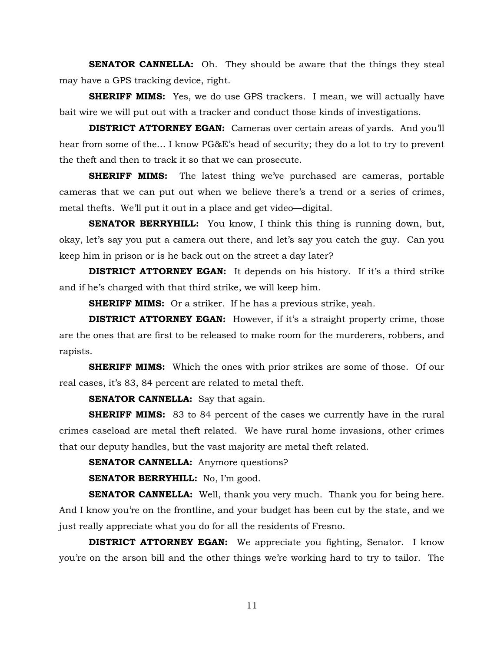**SENATOR CANNELLA:** Oh. They should be aware that the things they steal may have a GPS tracking device, right.

**SHERIFF MIMS:** Yes, we do use GPS trackers. I mean, we will actually have bait wire we will put out with a tracker and conduct those kinds of investigations.

**DISTRICT ATTORNEY EGAN:** Cameras over certain areas of yards. And you'll hear from some of the… I know PG&E's head of security; they do a lot to try to prevent the theft and then to track it so that we can prosecute.

**SHERIFF MIMS:** The latest thing we've purchased are cameras, portable cameras that we can put out when we believe there's a trend or a series of crimes, metal thefts. We'll put it out in a place and get video—digital.

**SENATOR BERRYHILL:** You know, I think this thing is running down, but, okay, let's say you put a camera out there, and let's say you catch the guy. Can you keep him in prison or is he back out on the street a day later?

**DISTRICT ATTORNEY EGAN:** It depends on his history. If it's a third strike and if he's charged with that third strike, we will keep him.

**SHERIFF MIMS:** Or a striker. If he has a previous strike, yeah.

**DISTRICT ATTORNEY EGAN:** However, if it's a straight property crime, those are the ones that are first to be released to make room for the murderers, robbers, and rapists.

**SHERIFF MIMS:** Which the ones with prior strikes are some of those. Of our real cases, it's 83, 84 percent are related to metal theft.

**SENATOR CANNELLA:** Say that again.

**SHERIFF MIMS:** 83 to 84 percent of the cases we currently have in the rural crimes caseload are metal theft related. We have rural home invasions, other crimes that our deputy handles, but the vast majority are metal theft related.

**SENATOR CANNELLA:** Anymore questions?

**SENATOR BERRYHILL:** No, I'm good.

**SENATOR CANNELLA:** Well, thank you very much. Thank you for being here. And I know you're on the frontline, and your budget has been cut by the state, and we just really appreciate what you do for all the residents of Fresno.

**DISTRICT ATTORNEY EGAN:** We appreciate you fighting, Senator. I know you're on the arson bill and the other things we're working hard to try to tailor. The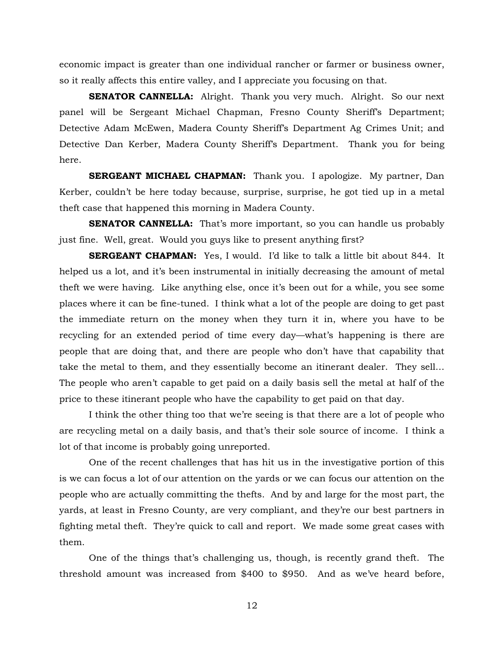economic impact is greater than one individual rancher or farmer or business owner, so it really affects this entire valley, and I appreciate you focusing on that.

**SENATOR CANNELLA:** Alright. Thank you very much. Alright. So our next panel will be Sergeant Michael Chapman, Fresno County Sheriff's Department; Detective Adam McEwen, Madera County Sheriff's Department Ag Crimes Unit; and Detective Dan Kerber, Madera County Sheriff's Department. Thank you for being here.

**SERGEANT MICHAEL CHAPMAN:** Thank you. I apologize. My partner, Dan Kerber, couldn't be here today because, surprise, surprise, he got tied up in a metal theft case that happened this morning in Madera County.

**SENATOR CANNELLA:** That's more important, so you can handle us probably just fine. Well, great. Would you guys like to present anything first?

**SERGEANT CHAPMAN:** Yes, I would. I'd like to talk a little bit about 844. It helped us a lot, and it's been instrumental in initially decreasing the amount of metal theft we were having. Like anything else, once it's been out for a while, you see some places where it can be fine-tuned. I think what a lot of the people are doing to get past the immediate return on the money when they turn it in, where you have to be recycling for an extended period of time every day—what's happening is there are people that are doing that, and there are people who don't have that capability that take the metal to them, and they essentially become an itinerant dealer. They sell… The people who aren't capable to get paid on a daily basis sell the metal at half of the price to these itinerant people who have the capability to get paid on that day.

I think the other thing too that we're seeing is that there are a lot of people who are recycling metal on a daily basis, and that's their sole source of income. I think a lot of that income is probably going unreported.

One of the recent challenges that has hit us in the investigative portion of this is we can focus a lot of our attention on the yards or we can focus our attention on the people who are actually committing the thefts. And by and large for the most part, the yards, at least in Fresno County, are very compliant, and they're our best partners in fighting metal theft. They're quick to call and report. We made some great cases with them.

One of the things that's challenging us, though, is recently grand theft. The threshold amount was increased from \$400 to \$950. And as we've heard before,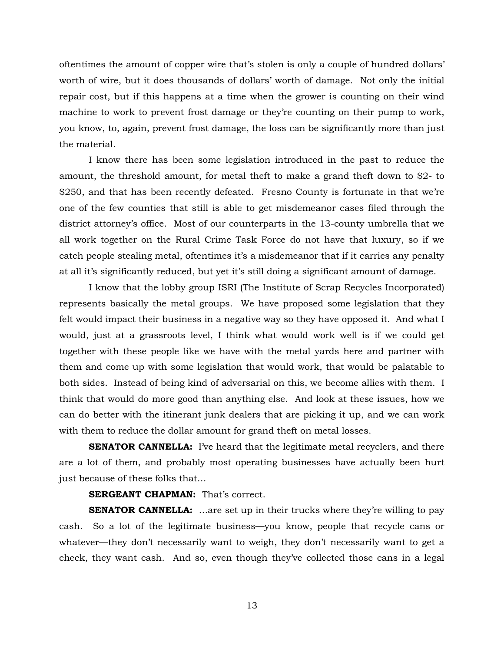oftentimes the amount of copper wire that's stolen is only a couple of hundred dollars' worth of wire, but it does thousands of dollars' worth of damage. Not only the initial repair cost, but if this happens at a time when the grower is counting on their wind machine to work to prevent frost damage or they're counting on their pump to work, you know, to, again, prevent frost damage, the loss can be significantly more than just the material.

I know there has been some legislation introduced in the past to reduce the amount, the threshold amount, for metal theft to make a grand theft down to \$2- to \$250, and that has been recently defeated. Fresno County is fortunate in that we're one of the few counties that still is able to get misdemeanor cases filed through the district attorney's office. Most of our counterparts in the 13-county umbrella that we all work together on the Rural Crime Task Force do not have that luxury, so if we catch people stealing metal, oftentimes it's a misdemeanor that if it carries any penalty at all it's significantly reduced, but yet it's still doing a significant amount of damage.

I know that the lobby group ISRI (The Institute of Scrap Recycles Incorporated) represents basically the metal groups. We have proposed some legislation that they felt would impact their business in a negative way so they have opposed it. And what I would, just at a grassroots level, I think what would work well is if we could get together with these people like we have with the metal yards here and partner with them and come up with some legislation that would work, that would be palatable to both sides. Instead of being kind of adversarial on this, we become allies with them. I think that would do more good than anything else. And look at these issues, how we can do better with the itinerant junk dealers that are picking it up, and we can work with them to reduce the dollar amount for grand theft on metal losses.

**SENATOR CANNELLA:** I've heard that the legitimate metal recyclers, and there are a lot of them, and probably most operating businesses have actually been hurt just because of these folks that…

## **SERGEANT CHAPMAN:** That's correct.

**SENATOR CANNELLA:** ...are set up in their trucks where they're willing to pay cash. So a lot of the legitimate business—you know, people that recycle cans or whatever—they don't necessarily want to weigh, they don't necessarily want to get a check, they want cash. And so, even though they've collected those cans in a legal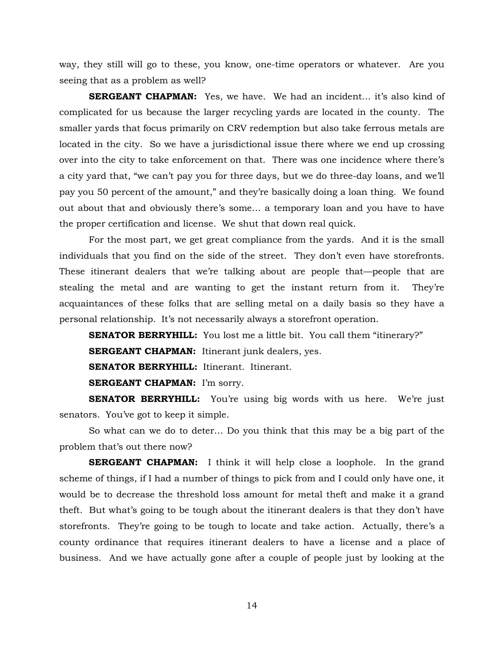way, they still will go to these, you know, one-time operators or whatever. Are you seeing that as a problem as well?

**SERGEANT CHAPMAN:** Yes, we have. We had an incident… it's also kind of complicated for us because the larger recycling yards are located in the county. The smaller yards that focus primarily on CRV redemption but also take ferrous metals are located in the city. So we have a jurisdictional issue there where we end up crossing over into the city to take enforcement on that. There was one incidence where there's a city yard that, "we can't pay you for three days, but we do three-day loans, and we'll pay you 50 percent of the amount," and they're basically doing a loan thing. We found out about that and obviously there's some… a temporary loan and you have to have the proper certification and license. We shut that down real quick.

For the most part, we get great compliance from the yards. And it is the small individuals that you find on the side of the street. They don't even have storefronts. These itinerant dealers that we're talking about are people that—people that are stealing the metal and are wanting to get the instant return from it. They're acquaintances of these folks that are selling metal on a daily basis so they have a personal relationship. It's not necessarily always a storefront operation.

**SENATOR BERRYHILL:** You lost me a little bit. You call them "itinerary?"

**SERGEANT CHAPMAN:** Itinerant junk dealers, yes.

**SENATOR BERRYHILL:** Itinerant. Itinerant.

**SERGEANT CHAPMAN:** I'm sorry.

**SENATOR BERRYHILL:** You're using big words with us here. We're just senators. You've got to keep it simple.

So what can we do to deter… Do you think that this may be a big part of the problem that's out there now?

**SERGEANT CHAPMAN:** I think it will help close a loophole. In the grand scheme of things, if I had a number of things to pick from and I could only have one, it would be to decrease the threshold loss amount for metal theft and make it a grand theft. But what's going to be tough about the itinerant dealers is that they don't have storefronts. They're going to be tough to locate and take action. Actually, there's a county ordinance that requires itinerant dealers to have a license and a place of business. And we have actually gone after a couple of people just by looking at the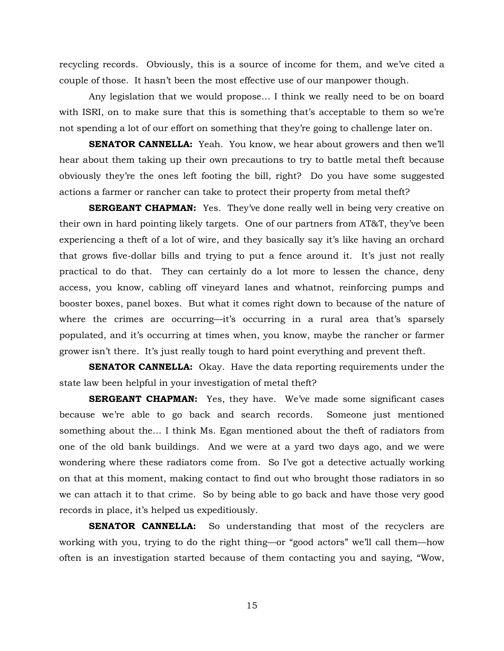recycling records. Obviously, this is a source of income for them, and we've cited a couple of those. It hasn't been the most effective use of our manpower though.

Any legislation that we would propose… I think we really need to be on board with ISRI, on to make sure that this is something that's acceptable to them so we're not spending a lot of our effort on something that they're going to challenge later on.

**SENATOR CANNELLA:** Yeah. You know, we hear about growers and then we'll hear about them taking up their own precautions to try to battle metal theft because obviously they're the ones left footing the bill, right? Do you have some suggested actions a farmer or rancher can take to protect their property from metal theft?

**SERGEANT CHAPMAN:** Yes. They've done really well in being very creative on their own in hard pointing likely targets. One of our partners from AT&T, they've been experiencing a theft of a lot of wire, and they basically say it's like having an orchard that grows five-dollar bills and trying to put a fence around it. It's just not really practical to do that. They can certainly do a lot more to lessen the chance, deny access, you know, cabling off vineyard lanes and whatnot, reinforcing pumps and booster boxes, panel boxes. But what it comes right down to because of the nature of where the crimes are occurring—it's occurring in a rural area that's sparsely populated, and it's occurring at times when, you know, maybe the rancher or farmer grower isn't there. It's just really tough to hard point everything and prevent theft.

**SENATOR CANNELLA:** Okay. Have the data reporting requirements under the state law been helpful in your investigation of metal theft?

**SERGEANT CHAPMAN:** Yes, they have. We've made some significant cases because we're able to go back and search records. Someone just mentioned something about the… I think Ms. Egan mentioned about the theft of radiators from one of the old bank buildings. And we were at a yard two days ago, and we were wondering where these radiators come from. So I've got a detective actually working on that at this moment, making contact to find out who brought those radiators in so we can attach it to that crime. So by being able to go back and have those very good records in place, it's helped us expeditiously.

**SENATOR CANNELLA:** So understanding that most of the recyclers are working with you, trying to do the right thing—or "good actors" we'll call them—how often is an investigation started because of them contacting you and saying, "Wow,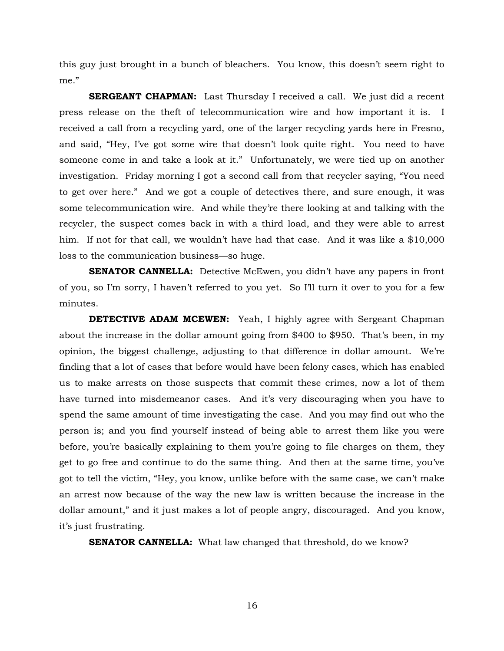this guy just brought in a bunch of bleachers. You know, this doesn't seem right to me."

**SERGEANT CHAPMAN:** Last Thursday I received a call. We just did a recent press release on the theft of telecommunication wire and how important it is. I received a call from a recycling yard, one of the larger recycling yards here in Fresno, and said, "Hey, I've got some wire that doesn't look quite right. You need to have someone come in and take a look at it." Unfortunately, we were tied up on another investigation. Friday morning I got a second call from that recycler saying, "You need to get over here." And we got a couple of detectives there, and sure enough, it was some telecommunication wire. And while they're there looking at and talking with the recycler, the suspect comes back in with a third load, and they were able to arrest him. If not for that call, we wouldn't have had that case. And it was like a \$10,000 loss to the communication business—so huge.

**SENATOR CANNELLA:** Detective McEwen, you didn't have any papers in front of you, so I'm sorry, I haven't referred to you yet. So I'll turn it over to you for a few minutes.

**DETECTIVE ADAM MCEWEN:** Yeah, I highly agree with Sergeant Chapman about the increase in the dollar amount going from \$400 to \$950. That's been, in my opinion, the biggest challenge, adjusting to that difference in dollar amount. We're finding that a lot of cases that before would have been felony cases, which has enabled us to make arrests on those suspects that commit these crimes, now a lot of them have turned into misdemeanor cases. And it's very discouraging when you have to spend the same amount of time investigating the case. And you may find out who the person is; and you find yourself instead of being able to arrest them like you were before, you're basically explaining to them you're going to file charges on them, they get to go free and continue to do the same thing. And then at the same time, you've got to tell the victim, "Hey, you know, unlike before with the same case, we can't make an arrest now because of the way the new law is written because the increase in the dollar amount," and it just makes a lot of people angry, discouraged. And you know, it's just frustrating.

**SENATOR CANNELLA:** What law changed that threshold, do we know?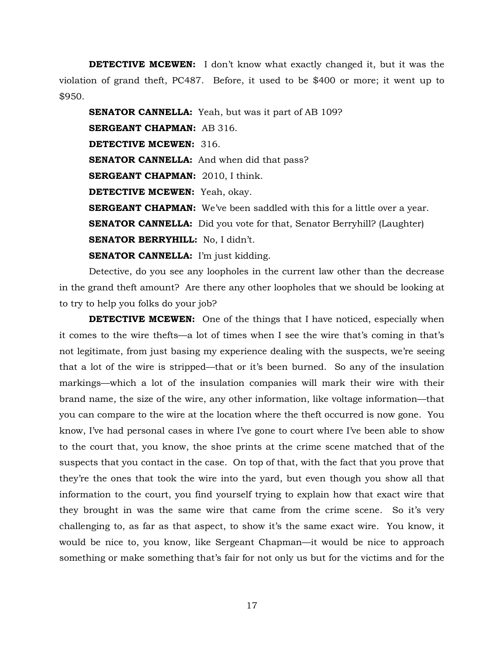**DETECTIVE MCEWEN:** I don't know what exactly changed it, but it was the violation of grand theft, PC487. Before, it used to be \$400 or more; it went up to \$950.

**SENATOR CANNELLA:** Yeah, but was it part of AB 109? **SERGEANT CHAPMAN:** AB 316. **DETECTIVE MCEWEN:** 316. **SENATOR CANNELLA:** And when did that pass? **SERGEANT CHAPMAN:** 2010, I think. **DETECTIVE MCEWEN:** Yeah, okay. **SERGEANT CHAPMAN:** We've been saddled with this for a little over a year. **SENATOR CANNELLA:** Did you vote for that, Senator Berryhill? (Laughter) **SENATOR BERRYHILL:** No, I didn't. **SENATOR CANNELLA:** I'm just kidding.

Detective, do you see any loopholes in the current law other than the decrease in the grand theft amount? Are there any other loopholes that we should be looking at to try to help you folks do your job?

**DETECTIVE MCEWEN:** One of the things that I have noticed, especially when it comes to the wire thefts—a lot of times when I see the wire that's coming in that's not legitimate, from just basing my experience dealing with the suspects, we're seeing that a lot of the wire is stripped—that or it's been burned. So any of the insulation markings—which a lot of the insulation companies will mark their wire with their brand name, the size of the wire, any other information, like voltage information—that you can compare to the wire at the location where the theft occurred is now gone. You know, I've had personal cases in where I've gone to court where I've been able to show to the court that, you know, the shoe prints at the crime scene matched that of the suspects that you contact in the case. On top of that, with the fact that you prove that they're the ones that took the wire into the yard, but even though you show all that information to the court, you find yourself trying to explain how that exact wire that they brought in was the same wire that came from the crime scene. So it's very challenging to, as far as that aspect, to show it's the same exact wire. You know, it would be nice to, you know, like Sergeant Chapman—it would be nice to approach something or make something that's fair for not only us but for the victims and for the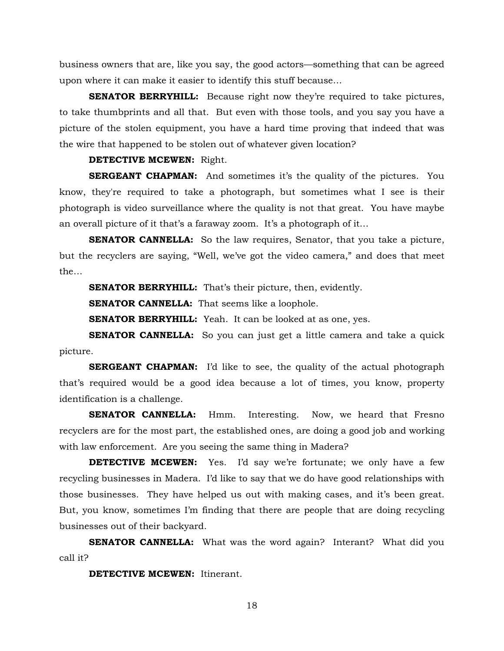business owners that are, like you say, the good actors—something that can be agreed upon where it can make it easier to identify this stuff because…

**SENATOR BERRYHILL:** Because right now they're required to take pictures, to take thumbprints and all that. But even with those tools, and you say you have a picture of the stolen equipment, you have a hard time proving that indeed that was the wire that happened to be stolen out of whatever given location?

#### **DETECTIVE MCEWEN:** Right.

**SERGEANT CHAPMAN:** And sometimes it's the quality of the pictures. You know, they're required to take a photograph, but sometimes what I see is their photograph is video surveillance where the quality is not that great. You have maybe an overall picture of it that's a faraway zoom. It's a photograph of it…

**SENATOR CANNELLA:** So the law requires, Senator, that you take a picture, but the recyclers are saying, "Well, we've got the video camera," and does that meet the…

**SENATOR BERRYHILL:** That's their picture, then, evidently.

**SENATOR CANNELLA:** That seems like a loophole.

**SENATOR BERRYHILL:** Yeah. It can be looked at as one, yes.

**SENATOR CANNELLA:** So you can just get a little camera and take a quick picture.

**SERGEANT CHAPMAN:** I'd like to see, the quality of the actual photograph that's required would be a good idea because a lot of times, you know, property identification is a challenge.

**SENATOR CANNELLA:** Hmm. Interesting. Now, we heard that Fresno recyclers are for the most part, the established ones, are doing a good job and working with law enforcement. Are you seeing the same thing in Madera?

**DETECTIVE MCEWEN:** Yes. I'd say we're fortunate; we only have a few recycling businesses in Madera. I'd like to say that we do have good relationships with those businesses. They have helped us out with making cases, and it's been great. But, you know, sometimes I'm finding that there are people that are doing recycling businesses out of their backyard.

**SENATOR CANNELLA:** What was the word again? Interant? What did you call it?

**DETECTIVE MCEWEN:** Itinerant.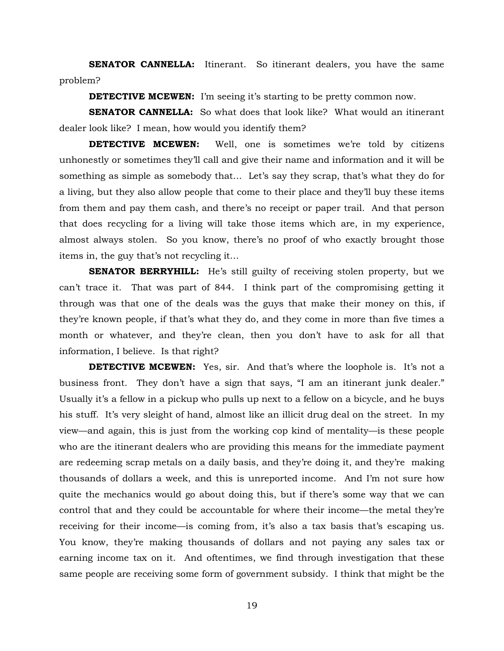**SENATOR CANNELLA:** Itinerant. So itinerant dealers, you have the same problem?

**DETECTIVE MCEWEN:** I'm seeing it's starting to be pretty common now.

**SENATOR CANNELLA:** So what does that look like? What would an itinerant dealer look like? I mean, how would you identify them?

**DETECTIVE MCEWEN:** Well, one is sometimes we're told by citizens unhonestly or sometimes they'll call and give their name and information and it will be something as simple as somebody that… Let's say they scrap, that's what they do for a living, but they also allow people that come to their place and they'll buy these items from them and pay them cash, and there's no receipt or paper trail. And that person that does recycling for a living will take those items which are, in my experience, almost always stolen. So you know, there's no proof of who exactly brought those items in, the guy that's not recycling it…

**SENATOR BERRYHILL:** He's still guilty of receiving stolen property, but we can't trace it. That was part of 844. I think part of the compromising getting it through was that one of the deals was the guys that make their money on this, if they're known people, if that's what they do, and they come in more than five times a month or whatever, and they're clean, then you don't have to ask for all that information, I believe. Is that right?

**DETECTIVE MCEWEN:** Yes, sir. And that's where the loophole is. It's not a business front. They don't have a sign that says, "I am an itinerant junk dealer." Usually it's a fellow in a pickup who pulls up next to a fellow on a bicycle, and he buys his stuff. It's very sleight of hand, almost like an illicit drug deal on the street. In my view—and again, this is just from the working cop kind of mentality—is these people who are the itinerant dealers who are providing this means for the immediate payment are redeeming scrap metals on a daily basis, and they're doing it, and they're making thousands of dollars a week, and this is unreported income. And I'm not sure how quite the mechanics would go about doing this, but if there's some way that we can control that and they could be accountable for where their income—the metal they're receiving for their income—is coming from, it's also a tax basis that's escaping us. You know, they're making thousands of dollars and not paying any sales tax or earning income tax on it. And oftentimes, we find through investigation that these same people are receiving some form of government subsidy. I think that might be the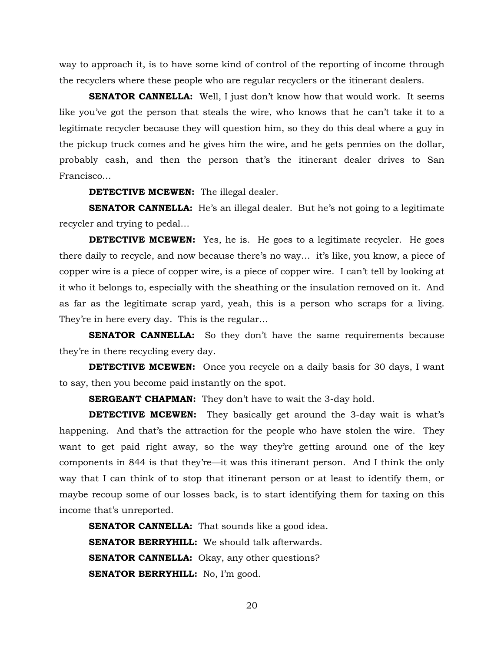way to approach it, is to have some kind of control of the reporting of income through the recyclers where these people who are regular recyclers or the itinerant dealers.

**SENATOR CANNELLA:** Well, I just don't know how that would work. It seems like you've got the person that steals the wire, who knows that he can't take it to a legitimate recycler because they will question him, so they do this deal where a guy in the pickup truck comes and he gives him the wire, and he gets pennies on the dollar, probably cash, and then the person that's the itinerant dealer drives to San Francisco…

**DETECTIVE MCEWEN:** The illegal dealer.

**SENATOR CANNELLA:** He's an illegal dealer. But he's not going to a legitimate recycler and trying to pedal…

**DETECTIVE MCEWEN:** Yes, he is. He goes to a legitimate recycler. He goes there daily to recycle, and now because there's no way… it's like, you know, a piece of copper wire is a piece of copper wire, is a piece of copper wire. I can't tell by looking at it who it belongs to, especially with the sheathing or the insulation removed on it. And as far as the legitimate scrap yard, yeah, this is a person who scraps for a living. They're in here every day. This is the regular…

**SENATOR CANNELLA:** So they don't have the same requirements because they're in there recycling every day.

**DETECTIVE MCEWEN:** Once you recycle on a daily basis for 30 days, I want to say, then you become paid instantly on the spot.

**SERGEANT CHAPMAN:** They don't have to wait the 3-day hold.

**DETECTIVE MCEWEN:** They basically get around the 3-day wait is what's happening. And that's the attraction for the people who have stolen the wire. They want to get paid right away, so the way they're getting around one of the key components in 844 is that they're—it was this itinerant person. And I think the only way that I can think of to stop that itinerant person or at least to identify them, or maybe recoup some of our losses back, is to start identifying them for taxing on this income that's unreported.

**SENATOR CANNELLA:** That sounds like a good idea. **SENATOR BERRYHILL:** We should talk afterwards. **SENATOR CANNELLA:** Okay, any other questions? **SENATOR BERRYHILL:** No, I'm good.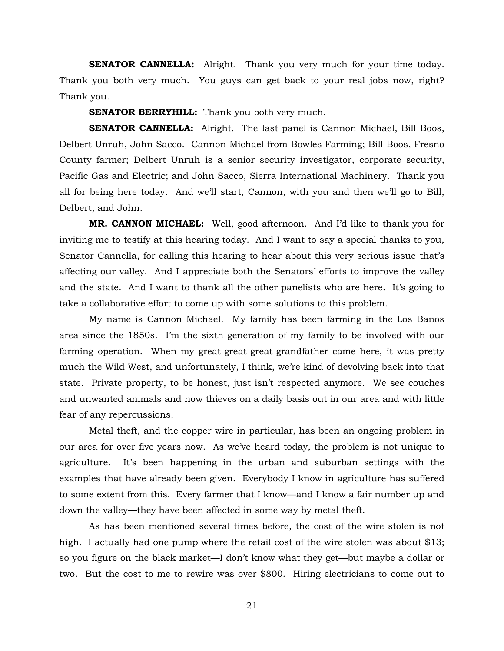**SENATOR CANNELLA:** Alright. Thank you very much for your time today. Thank you both very much. You guys can get back to your real jobs now, right? Thank you.

**SENATOR BERRYHILL:** Thank you both very much.

**SENATOR CANNELLA:** Alright. The last panel is Cannon Michael, Bill Boos, Delbert Unruh, John Sacco. Cannon Michael from Bowles Farming; Bill Boos, Fresno County farmer; Delbert Unruh is a senior security investigator, corporate security, Pacific Gas and Electric; and John Sacco, Sierra International Machinery. Thank you all for being here today. And we'll start, Cannon, with you and then we'll go to Bill, Delbert, and John.

**MR. CANNON MICHAEL:** Well, good afternoon. And I'd like to thank you for inviting me to testify at this hearing today. And I want to say a special thanks to you, Senator Cannella, for calling this hearing to hear about this very serious issue that's affecting our valley. And I appreciate both the Senators' efforts to improve the valley and the state. And I want to thank all the other panelists who are here. It's going to take a collaborative effort to come up with some solutions to this problem.

My name is Cannon Michael. My family has been farming in the Los Banos area since the 1850s. I'm the sixth generation of my family to be involved with our farming operation. When my great-great-great-grandfather came here, it was pretty much the Wild West, and unfortunately, I think, we're kind of devolving back into that state. Private property, to be honest, just isn't respected anymore. We see couches and unwanted animals and now thieves on a daily basis out in our area and with little fear of any repercussions.

Metal theft, and the copper wire in particular, has been an ongoing problem in our area for over five years now. As we've heard today, the problem is not unique to agriculture. It's been happening in the urban and suburban settings with the examples that have already been given. Everybody I know in agriculture has suffered to some extent from this. Every farmer that I know—and I know a fair number up and down the valley—they have been affected in some way by metal theft.

As has been mentioned several times before, the cost of the wire stolen is not high. I actually had one pump where the retail cost of the wire stolen was about \$13; so you figure on the black market—I don't know what they get—but maybe a dollar or two. But the cost to me to rewire was over \$800. Hiring electricians to come out to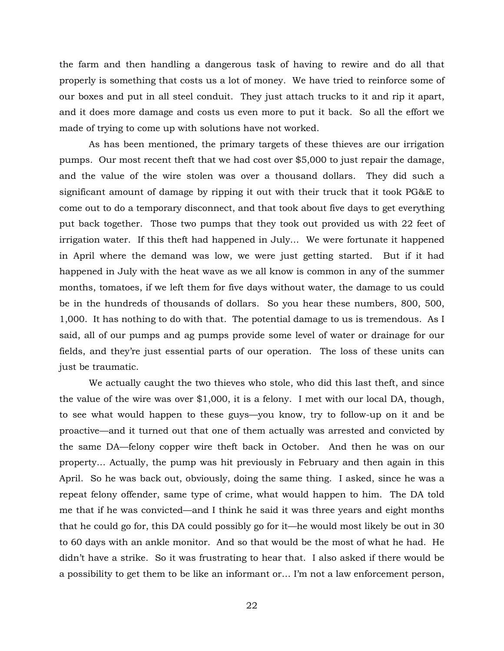the farm and then handling a dangerous task of having to rewire and do all that properly is something that costs us a lot of money. We have tried to reinforce some of our boxes and put in all steel conduit. They just attach trucks to it and rip it apart, and it does more damage and costs us even more to put it back. So all the effort we made of trying to come up with solutions have not worked.

As has been mentioned, the primary targets of these thieves are our irrigation pumps. Our most recent theft that we had cost over \$5,000 to just repair the damage, and the value of the wire stolen was over a thousand dollars. They did such a significant amount of damage by ripping it out with their truck that it took PG&E to come out to do a temporary disconnect, and that took about five days to get everything put back together. Those two pumps that they took out provided us with 22 feet of irrigation water. If this theft had happened in July… We were fortunate it happened in April where the demand was low, we were just getting started. But if it had happened in July with the heat wave as we all know is common in any of the summer months, tomatoes, if we left them for five days without water, the damage to us could be in the hundreds of thousands of dollars. So you hear these numbers, 800, 500, 1,000. It has nothing to do with that. The potential damage to us is tremendous. As I said, all of our pumps and ag pumps provide some level of water or drainage for our fields, and they're just essential parts of our operation. The loss of these units can just be traumatic.

We actually caught the two thieves who stole, who did this last theft, and since the value of the wire was over \$1,000, it is a felony. I met with our local DA, though, to see what would happen to these guys—you know, try to follow-up on it and be proactive—and it turned out that one of them actually was arrested and convicted by the same DA—felony copper wire theft back in October. And then he was on our property… Actually, the pump was hit previously in February and then again in this April. So he was back out, obviously, doing the same thing. I asked, since he was a repeat felony offender, same type of crime, what would happen to him. The DA told me that if he was convicted—and I think he said it was three years and eight months that he could go for, this DA could possibly go for it—he would most likely be out in 30 to 60 days with an ankle monitor. And so that would be the most of what he had. He didn't have a strike. So it was frustrating to hear that. I also asked if there would be a possibility to get them to be like an informant or… I'm not a law enforcement person,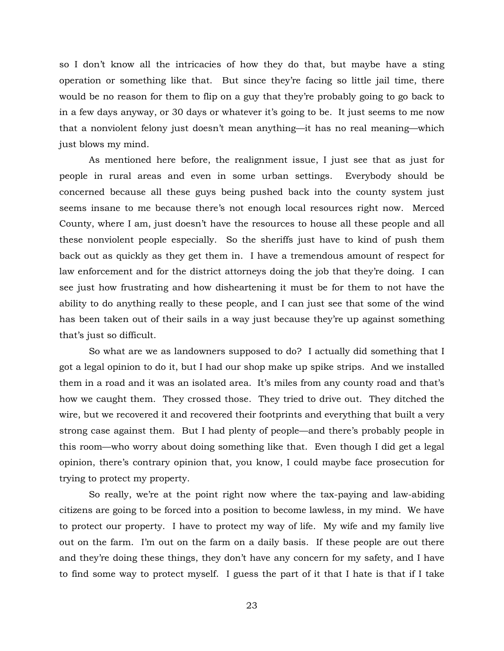so I don't know all the intricacies of how they do that, but maybe have a sting operation or something like that. But since they're facing so little jail time, there would be no reason for them to flip on a guy that they're probably going to go back to in a few days anyway, or 30 days or whatever it's going to be. It just seems to me now that a nonviolent felony just doesn't mean anything—it has no real meaning—which just blows my mind.

As mentioned here before, the realignment issue, I just see that as just for people in rural areas and even in some urban settings. Everybody should be concerned because all these guys being pushed back into the county system just seems insane to me because there's not enough local resources right now. Merced County, where I am, just doesn't have the resources to house all these people and all these nonviolent people especially. So the sheriffs just have to kind of push them back out as quickly as they get them in. I have a tremendous amount of respect for law enforcement and for the district attorneys doing the job that they're doing. I can see just how frustrating and how disheartening it must be for them to not have the ability to do anything really to these people, and I can just see that some of the wind has been taken out of their sails in a way just because they're up against something that's just so difficult.

So what are we as landowners supposed to do? I actually did something that I got a legal opinion to do it, but I had our shop make up spike strips. And we installed them in a road and it was an isolated area. It's miles from any county road and that's how we caught them. They crossed those. They tried to drive out. They ditched the wire, but we recovered it and recovered their footprints and everything that built a very strong case against them. But I had plenty of people—and there's probably people in this room—who worry about doing something like that. Even though I did get a legal opinion, there's contrary opinion that, you know, I could maybe face prosecution for trying to protect my property.

So really, we're at the point right now where the tax-paying and law-abiding citizens are going to be forced into a position to become lawless, in my mind. We have to protect our property. I have to protect my way of life. My wife and my family live out on the farm. I'm out on the farm on a daily basis. If these people are out there and they're doing these things, they don't have any concern for my safety, and I have to find some way to protect myself. I guess the part of it that I hate is that if I take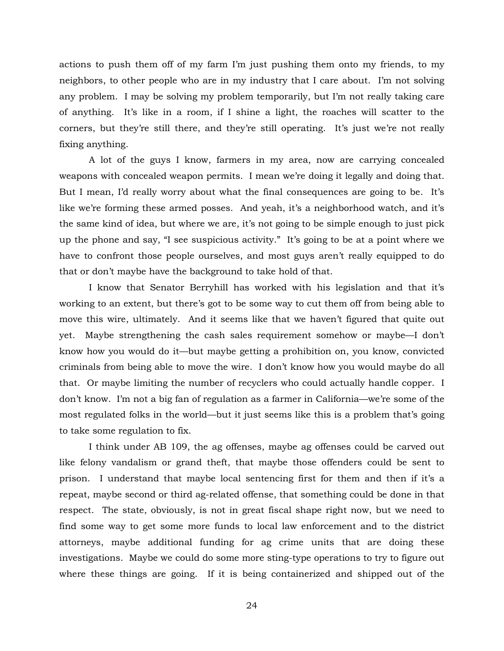actions to push them off of my farm I'm just pushing them onto my friends, to my neighbors, to other people who are in my industry that I care about. I'm not solving any problem. I may be solving my problem temporarily, but I'm not really taking care of anything. It's like in a room, if I shine a light, the roaches will scatter to the corners, but they're still there, and they're still operating. It's just we're not really fixing anything.

A lot of the guys I know, farmers in my area, now are carrying concealed weapons with concealed weapon permits. I mean we're doing it legally and doing that. But I mean, I'd really worry about what the final consequences are going to be. It's like we're forming these armed posses. And yeah, it's a neighborhood watch, and it's the same kind of idea, but where we are, it's not going to be simple enough to just pick up the phone and say, "I see suspicious activity." It's going to be at a point where we have to confront those people ourselves, and most guys aren't really equipped to do that or don't maybe have the background to take hold of that.

I know that Senator Berryhill has worked with his legislation and that it's working to an extent, but there's got to be some way to cut them off from being able to move this wire, ultimately. And it seems like that we haven't figured that quite out yet. Maybe strengthening the cash sales requirement somehow or maybe—I don't know how you would do it—but maybe getting a prohibition on, you know, convicted criminals from being able to move the wire. I don't know how you would maybe do all that. Or maybe limiting the number of recyclers who could actually handle copper. I don't know. I'm not a big fan of regulation as a farmer in California—we're some of the most regulated folks in the world—but it just seems like this is a problem that's going to take some regulation to fix.

I think under AB 109, the ag offenses, maybe ag offenses could be carved out like felony vandalism or grand theft, that maybe those offenders could be sent to prison. I understand that maybe local sentencing first for them and then if it's a repeat, maybe second or third ag-related offense, that something could be done in that respect. The state, obviously, is not in great fiscal shape right now, but we need to find some way to get some more funds to local law enforcement and to the district attorneys, maybe additional funding for ag crime units that are doing these investigations. Maybe we could do some more sting-type operations to try to figure out where these things are going. If it is being containerized and shipped out of the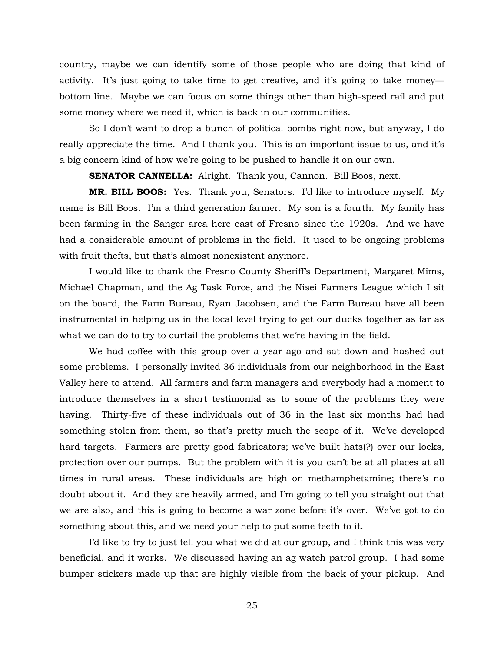country, maybe we can identify some of those people who are doing that kind of activity. It's just going to take time to get creative, and it's going to take money bottom line. Maybe we can focus on some things other than high-speed rail and put some money where we need it, which is back in our communities.

So I don't want to drop a bunch of political bombs right now, but anyway, I do really appreciate the time. And I thank you. This is an important issue to us, and it's a big concern kind of how we're going to be pushed to handle it on our own.

**SENATOR CANNELLA:** Alright. Thank you, Cannon. Bill Boos, next.

**MR. BILL BOOS:** Yes. Thank you, Senators. I'd like to introduce myself. My name is Bill Boos. I'm a third generation farmer. My son is a fourth. My family has been farming in the Sanger area here east of Fresno since the 1920s. And we have had a considerable amount of problems in the field. It used to be ongoing problems with fruit thefts, but that's almost nonexistent anymore.

I would like to thank the Fresno County Sheriff's Department, Margaret Mims, Michael Chapman, and the Ag Task Force, and the Nisei Farmers League which I sit on the board, the Farm Bureau, Ryan Jacobsen, and the Farm Bureau have all been instrumental in helping us in the local level trying to get our ducks together as far as what we can do to try to curtail the problems that we're having in the field.

We had coffee with this group over a year ago and sat down and hashed out some problems. I personally invited 36 individuals from our neighborhood in the East Valley here to attend. All farmers and farm managers and everybody had a moment to introduce themselves in a short testimonial as to some of the problems they were having. Thirty-five of these individuals out of 36 in the last six months had had something stolen from them, so that's pretty much the scope of it. We've developed hard targets. Farmers are pretty good fabricators; we've built hats(?) over our locks, protection over our pumps. But the problem with it is you can't be at all places at all times in rural areas. These individuals are high on methamphetamine; there's no doubt about it. And they are heavily armed, and I'm going to tell you straight out that we are also, and this is going to become a war zone before it's over. We've got to do something about this, and we need your help to put some teeth to it.

I'd like to try to just tell you what we did at our group, and I think this was very beneficial, and it works. We discussed having an ag watch patrol group. I had some bumper stickers made up that are highly visible from the back of your pickup. And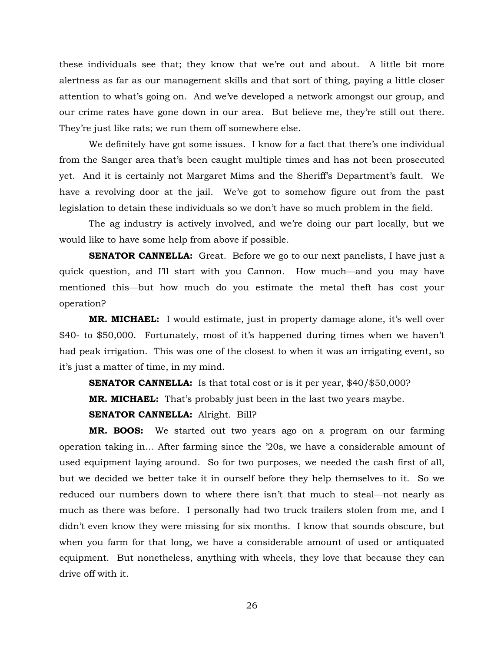these individuals see that; they know that we're out and about. A little bit more alertness as far as our management skills and that sort of thing, paying a little closer attention to what's going on. And we've developed a network amongst our group, and our crime rates have gone down in our area. But believe me, they're still out there. They're just like rats; we run them off somewhere else.

We definitely have got some issues. I know for a fact that there's one individual from the Sanger area that's been caught multiple times and has not been prosecuted yet. And it is certainly not Margaret Mims and the Sheriff's Department's fault. We have a revolving door at the jail. We've got to somehow figure out from the past legislation to detain these individuals so we don't have so much problem in the field.

The ag industry is actively involved, and we're doing our part locally, but we would like to have some help from above if possible.

**SENATOR CANNELLA:** Great. Before we go to our next panelists, I have just a quick question, and I'll start with you Cannon. How much—and you may have mentioned this—but how much do you estimate the metal theft has cost your operation?

**MR. MICHAEL:** I would estimate, just in property damage alone, it's well over \$40- to \$50,000. Fortunately, most of it's happened during times when we haven't had peak irrigation. This was one of the closest to when it was an irrigating event, so it's just a matter of time, in my mind.

**SENATOR CANNELLA:** Is that total cost or is it per year, \$40/\$50,000?

**MR. MICHAEL:** That's probably just been in the last two years maybe.

**SENATOR CANNELLA:** Alright. Bill?

**MR. BOOS:** We started out two years ago on a program on our farming operation taking in… After farming since the '20s, we have a considerable amount of used equipment laying around. So for two purposes, we needed the cash first of all, but we decided we better take it in ourself before they help themselves to it. So we reduced our numbers down to where there isn't that much to steal—not nearly as much as there was before. I personally had two truck trailers stolen from me, and I didn't even know they were missing for six months. I know that sounds obscure, but when you farm for that long, we have a considerable amount of used or antiquated equipment. But nonetheless, anything with wheels, they love that because they can drive off with it.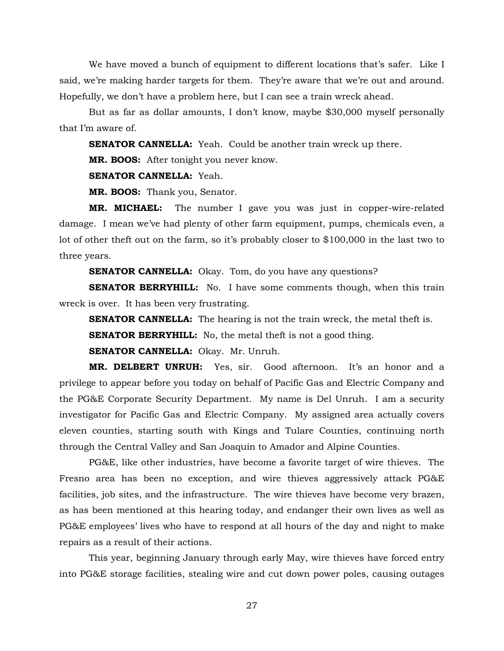We have moved a bunch of equipment to different locations that's safer. Like I said, we're making harder targets for them. They're aware that we're out and around. Hopefully, we don't have a problem here, but I can see a train wreck ahead.

But as far as dollar amounts, I don't know, maybe \$30,000 myself personally that I'm aware of.

**SENATOR CANNELLA:** Yeah. Could be another train wreck up there.

**MR. BOOS:** After tonight you never know.

**SENATOR CANNELLA:** Yeah.

**MR. BOOS:** Thank you, Senator.

**MR. MICHAEL:** The number I gave you was just in copper-wire-related damage. I mean we've had plenty of other farm equipment, pumps, chemicals even, a lot of other theft out on the farm, so it's probably closer to \$100,000 in the last two to three years.

**SENATOR CANNELLA:** Okay. Tom, do you have any questions?

**SENATOR BERRYHILL:** No. I have some comments though, when this train wreck is over. It has been very frustrating.

**SENATOR CANNELLA:** The hearing is not the train wreck, the metal theft is.

**SENATOR BERRYHILL:** No, the metal theft is not a good thing.

**SENATOR CANNELLA:** Okay. Mr. Unruh.

**MR. DELBERT UNRUH:** Yes, sir. Good afternoon. It's an honor and a privilege to appear before you today on behalf of Pacific Gas and Electric Company and the PG&E Corporate Security Department. My name is Del Unruh. I am a security investigator for Pacific Gas and Electric Company. My assigned area actually covers eleven counties, starting south with Kings and Tulare Counties, continuing north through the Central Valley and San Joaquin to Amador and Alpine Counties.

PG&E, like other industries, have become a favorite target of wire thieves. The Fresno area has been no exception, and wire thieves aggressively attack PG&E facilities, job sites, and the infrastructure. The wire thieves have become very brazen, as has been mentioned at this hearing today, and endanger their own lives as well as PG&E employees' lives who have to respond at all hours of the day and night to make repairs as a result of their actions.

This year, beginning January through early May, wire thieves have forced entry into PG&E storage facilities, stealing wire and cut down power poles, causing outages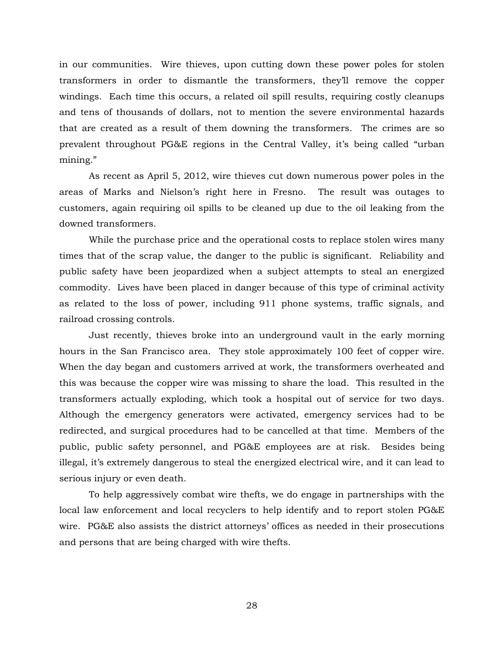in our communities. Wire thieves, upon cutting down these power poles for stolen transformers in order to dismantle the transformers, they'll remove the copper windings. Each time this occurs, a related oil spill results, requiring costly cleanups and tens of thousands of dollars, not to mention the severe environmental hazards that are created as a result of them downing the transformers. The crimes are so prevalent throughout PG&E regions in the Central Valley, it's being called "urban mining."

As recent as April 5, 2012, wire thieves cut down numerous power poles in the areas of Marks and Nielson's right here in Fresno. The result was outages to customers, again requiring oil spills to be cleaned up due to the oil leaking from the downed transformers.

While the purchase price and the operational costs to replace stolen wires many times that of the scrap value, the danger to the public is significant. Reliability and public safety have been jeopardized when a subject attempts to steal an energized commodity. Lives have been placed in danger because of this type of criminal activity as related to the loss of power, including 911 phone systems, traffic signals, and railroad crossing controls.

Just recently, thieves broke into an underground vault in the early morning hours in the San Francisco area. They stole approximately 100 feet of copper wire. When the day began and customers arrived at work, the transformers overheated and this was because the copper wire was missing to share the load. This resulted in the transformers actually exploding, which took a hospital out of service for two days. Although the emergency generators were activated, emergency services had to be redirected, and surgical procedures had to be cancelled at that time. Members of the public, public safety personnel, and PG&E employees are at risk. Besides being illegal, it's extremely dangerous to steal the energized electrical wire, and it can lead to serious injury or even death.

To help aggressively combat wire thefts, we do engage in partnerships with the local law enforcement and local recyclers to help identify and to report stolen PG&E wire. PG&E also assists the district attorneys' offices as needed in their prosecutions and persons that are being charged with wire thefts.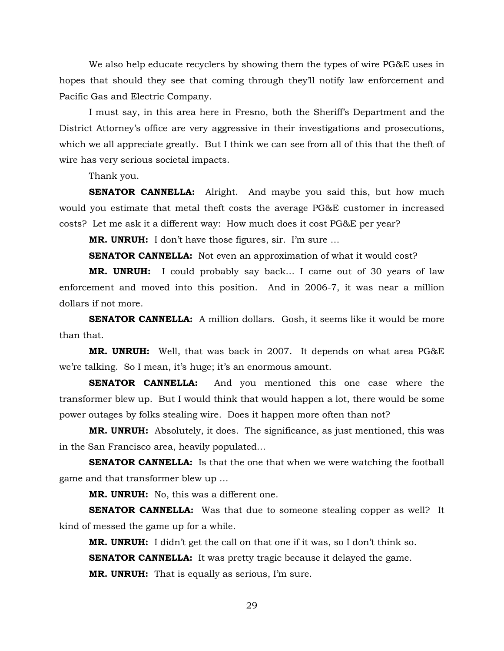We also help educate recyclers by showing them the types of wire PG&E uses in hopes that should they see that coming through they'll notify law enforcement and Pacific Gas and Electric Company.

I must say, in this area here in Fresno, both the Sheriff's Department and the District Attorney's office are very aggressive in their investigations and prosecutions, which we all appreciate greatly. But I think we can see from all of this that the theft of wire has very serious societal impacts.

Thank you.

**SENATOR CANNELLA:** Alright. And maybe you said this, but how much would you estimate that metal theft costs the average PG&E customer in increased costs? Let me ask it a different way: How much does it cost PG&E per year?

**MR. UNRUH:** I don't have those figures, sir. I'm sure …

**SENATOR CANNELLA:** Not even an approximation of what it would cost?

**MR. UNRUH:** I could probably say back… I came out of 30 years of law enforcement and moved into this position. And in 2006-7, it was near a million dollars if not more.

**SENATOR CANNELLA:** A million dollars. Gosh, it seems like it would be more than that.

**MR. UNRUH:** Well, that was back in 2007. It depends on what area PG&E we're talking. So I mean, it's huge; it's an enormous amount.

**SENATOR CANNELLA:** And you mentioned this one case where the transformer blew up. But I would think that would happen a lot, there would be some power outages by folks stealing wire. Does it happen more often than not?

**MR. UNRUH:** Absolutely, it does. The significance, as just mentioned, this was in the San Francisco area, heavily populated…

**SENATOR CANNELLA:** Is that the one that when we were watching the football game and that transformer blew up …

**MR. UNRUH:** No, this was a different one.

**SENATOR CANNELLA:** Was that due to someone stealing copper as well? It kind of messed the game up for a while.

**MR. UNRUH:** I didn't get the call on that one if it was, so I don't think so.

**SENATOR CANNELLA:** It was pretty tragic because it delayed the game.

**MR. UNRUH:** That is equally as serious, I'm sure.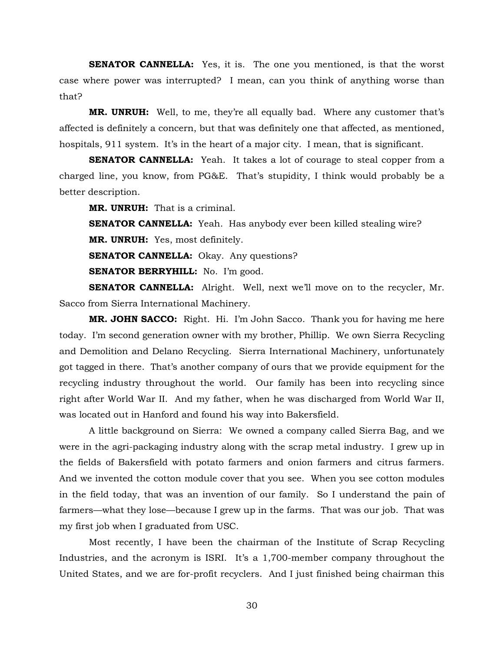**SENATOR CANNELLA:** Yes, it is. The one you mentioned, is that the worst case where power was interrupted? I mean, can you think of anything worse than that?

**MR. UNRUH:** Well, to me, they're all equally bad. Where any customer that's affected is definitely a concern, but that was definitely one that affected, as mentioned, hospitals, 911 system. It's in the heart of a major city. I mean, that is significant.

**SENATOR CANNELLA:** Yeah. It takes a lot of courage to steal copper from a charged line, you know, from PG&E. That's stupidity, I think would probably be a better description.

**MR. UNRUH:** That is a criminal.

**SENATOR CANNELLA:** Yeah. Has anybody ever been killed stealing wire?

**MR. UNRUH:** Yes, most definitely.

**SENATOR CANNELLA:** Okay. Any questions?

**SENATOR BERRYHILL:** No. I'm good.

**SENATOR CANNELLA:** Alright. Well, next we'll move on to the recycler, Mr. Sacco from Sierra International Machinery.

**MR. JOHN SACCO:** Right. Hi. I'm John Sacco. Thank you for having me here today. I'm second generation owner with my brother, Phillip. We own Sierra Recycling and Demolition and Delano Recycling. Sierra International Machinery, unfortunately got tagged in there. That's another company of ours that we provide equipment for the recycling industry throughout the world. Our family has been into recycling since right after World War II. And my father, when he was discharged from World War II, was located out in Hanford and found his way into Bakersfield.

A little background on Sierra: We owned a company called Sierra Bag, and we were in the agri-packaging industry along with the scrap metal industry. I grew up in the fields of Bakersfield with potato farmers and onion farmers and citrus farmers. And we invented the cotton module cover that you see. When you see cotton modules in the field today, that was an invention of our family. So I understand the pain of farmers—what they lose—because I grew up in the farms. That was our job. That was my first job when I graduated from USC.

Most recently, I have been the chairman of the Institute of Scrap Recycling Industries, and the acronym is ISRI. It's a 1,700-member company throughout the United States, and we are for-profit recyclers. And I just finished being chairman this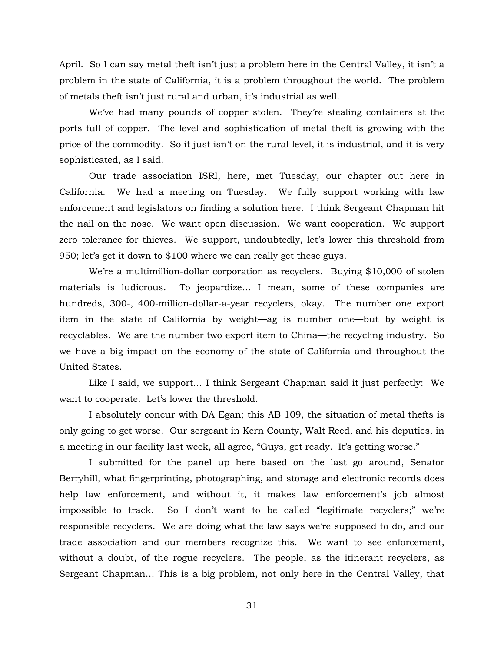April. So I can say metal theft isn't just a problem here in the Central Valley, it isn't a problem in the state of California, it is a problem throughout the world. The problem of metals theft isn't just rural and urban, it's industrial as well.

We've had many pounds of copper stolen. They're stealing containers at the ports full of copper. The level and sophistication of metal theft is growing with the price of the commodity. So it just isn't on the rural level, it is industrial, and it is very sophisticated, as I said.

Our trade association ISRI, here, met Tuesday, our chapter out here in California. We had a meeting on Tuesday. We fully support working with law enforcement and legislators on finding a solution here. I think Sergeant Chapman hit the nail on the nose. We want open discussion. We want cooperation. We support zero tolerance for thieves. We support, undoubtedly, let's lower this threshold from 950; let's get it down to \$100 where we can really get these guys.

We're a multimillion-dollar corporation as recyclers. Buying \$10,000 of stolen materials is ludicrous. To jeopardize… I mean, some of these companies are hundreds, 300-, 400-million-dollar-a-year recyclers, okay. The number one export item in the state of California by weight—ag is number one—but by weight is recyclables. We are the number two export item to China—the recycling industry. So we have a big impact on the economy of the state of California and throughout the United States.

Like I said, we support… I think Sergeant Chapman said it just perfectly: We want to cooperate. Let's lower the threshold.

I absolutely concur with DA Egan; this AB 109, the situation of metal thefts is only going to get worse. Our sergeant in Kern County, Walt Reed, and his deputies, in a meeting in our facility last week, all agree, "Guys, get ready. It's getting worse."

I submitted for the panel up here based on the last go around, Senator Berryhill, what fingerprinting, photographing, and storage and electronic records does help law enforcement, and without it, it makes law enforcement's job almost impossible to track. So I don't want to be called "legitimate recyclers;" we're responsible recyclers. We are doing what the law says we're supposed to do, and our trade association and our members recognize this. We want to see enforcement, without a doubt, of the rogue recyclers. The people, as the itinerant recyclers, as Sergeant Chapman… This is a big problem, not only here in the Central Valley, that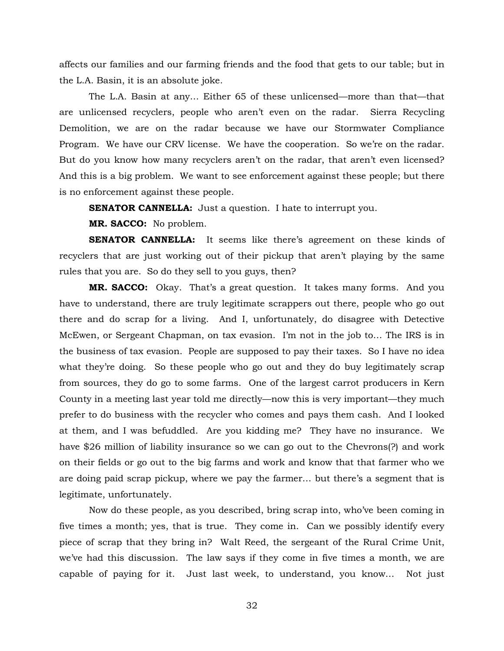affects our families and our farming friends and the food that gets to our table; but in the L.A. Basin, it is an absolute joke.

The L.A. Basin at any… Either 65 of these unlicensed—more than that—that are unlicensed recyclers, people who aren't even on the radar. Sierra Recycling Demolition, we are on the radar because we have our Stormwater Compliance Program. We have our CRV license. We have the cooperation. So we're on the radar. But do you know how many recyclers aren't on the radar, that aren't even licensed? And this is a big problem. We want to see enforcement against these people; but there is no enforcement against these people.

**SENATOR CANNELLA:** Just a question. I hate to interrupt you.

**MR. SACCO:** No problem.

**SENATOR CANNELLA:** It seems like there's agreement on these kinds of recyclers that are just working out of their pickup that aren't playing by the same rules that you are. So do they sell to you guys, then?

**MR. SACCO:** Okay. That's a great question. It takes many forms. And you have to understand, there are truly legitimate scrappers out there, people who go out there and do scrap for a living. And I, unfortunately, do disagree with Detective McEwen, or Sergeant Chapman, on tax evasion. I'm not in the job to… The IRS is in the business of tax evasion. People are supposed to pay their taxes. So I have no idea what they're doing. So these people who go out and they do buy legitimately scrap from sources, they do go to some farms. One of the largest carrot producers in Kern County in a meeting last year told me directly—now this is very important—they much prefer to do business with the recycler who comes and pays them cash. And I looked at them, and I was befuddled. Are you kidding me? They have no insurance. We have \$26 million of liability insurance so we can go out to the Chevrons(?) and work on their fields or go out to the big farms and work and know that that farmer who we are doing paid scrap pickup, where we pay the farmer… but there's a segment that is legitimate, unfortunately.

Now do these people, as you described, bring scrap into, who've been coming in five times a month; yes, that is true. They come in. Can we possibly identify every piece of scrap that they bring in? Walt Reed, the sergeant of the Rural Crime Unit, we've had this discussion. The law says if they come in five times a month, we are capable of paying for it. Just last week, to understand, you know… Not just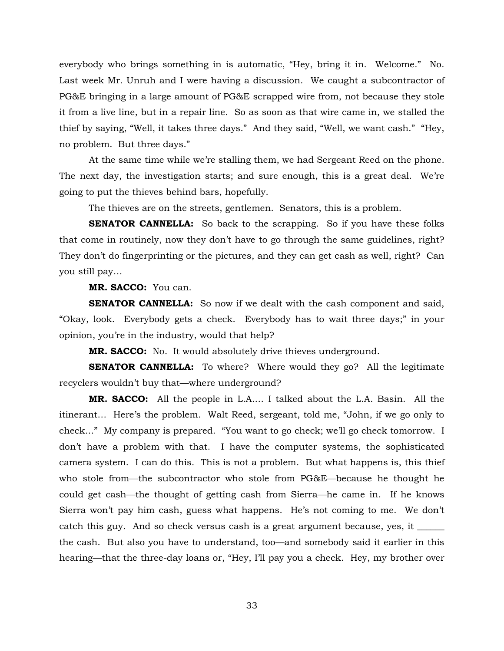everybody who brings something in is automatic, "Hey, bring it in. Welcome." No. Last week Mr. Unruh and I were having a discussion. We caught a subcontractor of PG&E bringing in a large amount of PG&E scrapped wire from, not because they stole it from a live line, but in a repair line. So as soon as that wire came in, we stalled the thief by saying, "Well, it takes three days." And they said, "Well, we want cash." "Hey, no problem. But three days."

At the same time while we're stalling them, we had Sergeant Reed on the phone. The next day, the investigation starts; and sure enough, this is a great deal. We're going to put the thieves behind bars, hopefully.

The thieves are on the streets, gentlemen. Senators, this is a problem.

**SENATOR CANNELLA:** So back to the scrapping. So if you have these folks that come in routinely, now they don't have to go through the same guidelines, right? They don't do fingerprinting or the pictures, and they can get cash as well, right? Can you still pay…

**MR. SACCO:** You can.

**SENATOR CANNELLA:** So now if we dealt with the cash component and said, "Okay, look. Everybody gets a check. Everybody has to wait three days;" in your opinion, you're in the industry, would that help?

**MR. SACCO:** No. It would absolutely drive thieves underground.

**SENATOR CANNELLA:** To where? Where would they go? All the legitimate recyclers wouldn't buy that—where underground?

**MR. SACCO:** All the people in L.A.… I talked about the L.A. Basin. All the itinerant… Here's the problem. Walt Reed, sergeant, told me, "John, if we go only to check…" My company is prepared. "You want to go check; we'll go check tomorrow. I don't have a problem with that. I have the computer systems, the sophisticated camera system. I can do this. This is not a problem. But what happens is, this thief who stole from—the subcontractor who stole from PG&E—because he thought he could get cash—the thought of getting cash from Sierra—he came in. If he knows Sierra won't pay him cash, guess what happens. He's not coming to me. We don't catch this guy. And so check versus cash is a great argument because, yes, it  $\equiv$ the cash. But also you have to understand, too—and somebody said it earlier in this hearing—that the three-day loans or, "Hey, I'll pay you a check. Hey, my brother over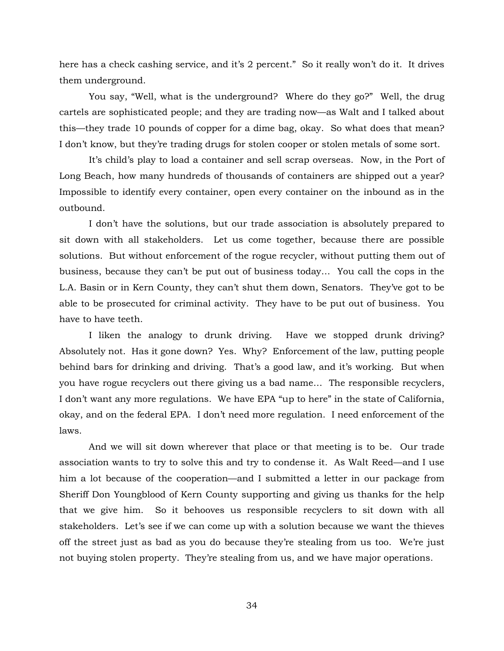here has a check cashing service, and it's 2 percent." So it really won't do it. It drives them underground.

You say, "Well, what is the underground? Where do they go?" Well, the drug cartels are sophisticated people; and they are trading now—as Walt and I talked about this—they trade 10 pounds of copper for a dime bag, okay. So what does that mean? I don't know, but they're trading drugs for stolen cooper or stolen metals of some sort.

It's child's play to load a container and sell scrap overseas. Now, in the Port of Long Beach, how many hundreds of thousands of containers are shipped out a year? Impossible to identify every container, open every container on the inbound as in the outbound.

I don't have the solutions, but our trade association is absolutely prepared to sit down with all stakeholders. Let us come together, because there are possible solutions. But without enforcement of the rogue recycler, without putting them out of business, because they can't be put out of business today… You call the cops in the L.A. Basin or in Kern County, they can't shut them down, Senators. They've got to be able to be prosecuted for criminal activity. They have to be put out of business. You have to have teeth.

I liken the analogy to drunk driving. Have we stopped drunk driving? Absolutely not. Has it gone down? Yes. Why? Enforcement of the law, putting people behind bars for drinking and driving. That's a good law, and it's working. But when you have rogue recyclers out there giving us a bad name… The responsible recyclers, I don't want any more regulations. We have EPA "up to here" in the state of California, okay, and on the federal EPA. I don't need more regulation. I need enforcement of the laws.

And we will sit down wherever that place or that meeting is to be. Our trade association wants to try to solve this and try to condense it. As Walt Reed—and I use him a lot because of the cooperation—and I submitted a letter in our package from Sheriff Don Youngblood of Kern County supporting and giving us thanks for the help that we give him. So it behooves us responsible recyclers to sit down with all stakeholders. Let's see if we can come up with a solution because we want the thieves off the street just as bad as you do because they're stealing from us too. We're just not buying stolen property. They're stealing from us, and we have major operations.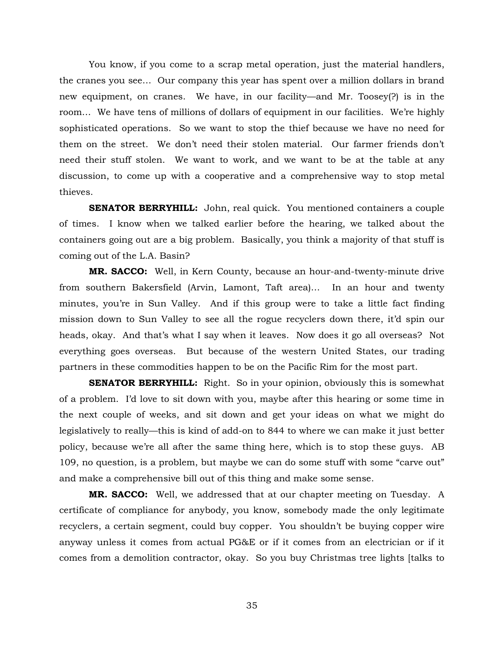You know, if you come to a scrap metal operation, just the material handlers, the cranes you see… Our company this year has spent over a million dollars in brand new equipment, on cranes. We have, in our facility—and Mr. Toosey(?) is in the room… We have tens of millions of dollars of equipment in our facilities. We're highly sophisticated operations. So we want to stop the thief because we have no need for them on the street. We don't need their stolen material. Our farmer friends don't need their stuff stolen. We want to work, and we want to be at the table at any discussion, to come up with a cooperative and a comprehensive way to stop metal thieves.

**SENATOR BERRYHILL:** John, real quick. You mentioned containers a couple of times. I know when we talked earlier before the hearing, we talked about the containers going out are a big problem. Basically, you think a majority of that stuff is coming out of the L.A. Basin?

**MR. SACCO:** Well, in Kern County, because an hour-and-twenty-minute drive from southern Bakersfield (Arvin, Lamont, Taft area)… In an hour and twenty minutes, you're in Sun Valley. And if this group were to take a little fact finding mission down to Sun Valley to see all the rogue recyclers down there, it'd spin our heads, okay. And that's what I say when it leaves. Now does it go all overseas? Not everything goes overseas. But because of the western United States, our trading partners in these commodities happen to be on the Pacific Rim for the most part.

**SENATOR BERRYHILL:** Right. So in your opinion, obviously this is somewhat of a problem. I'd love to sit down with you, maybe after this hearing or some time in the next couple of weeks, and sit down and get your ideas on what we might do legislatively to really—this is kind of add-on to 844 to where we can make it just better policy, because we're all after the same thing here, which is to stop these guys. AB 109, no question, is a problem, but maybe we can do some stuff with some "carve out" and make a comprehensive bill out of this thing and make some sense.

**MR. SACCO:** Well, we addressed that at our chapter meeting on Tuesday. A certificate of compliance for anybody, you know, somebody made the only legitimate recyclers, a certain segment, could buy copper. You shouldn't be buying copper wire anyway unless it comes from actual PG&E or if it comes from an electrician or if it comes from a demolition contractor, okay. So you buy Christmas tree lights [talks to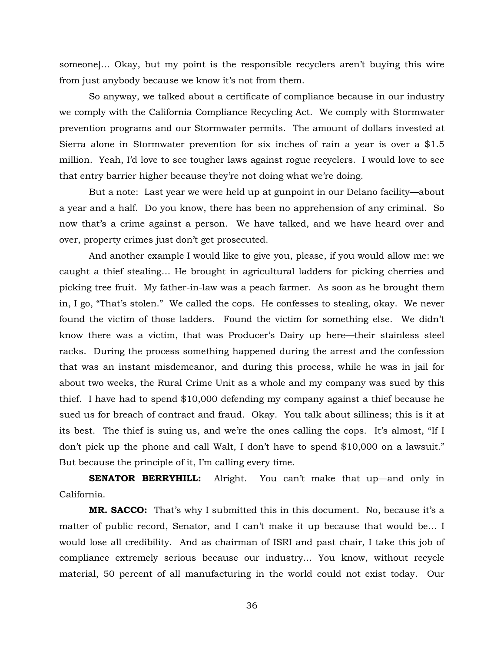someone]… Okay, but my point is the responsible recyclers aren't buying this wire from just anybody because we know it's not from them.

So anyway, we talked about a certificate of compliance because in our industry we comply with the California Compliance Recycling Act. We comply with Stormwater prevention programs and our Stormwater permits. The amount of dollars invested at Sierra alone in Stormwater prevention for six inches of rain a year is over a \$1.5 million. Yeah, I'd love to see tougher laws against rogue recyclers. I would love to see that entry barrier higher because they're not doing what we're doing.

But a note: Last year we were held up at gunpoint in our Delano facility—about a year and a half. Do you know, there has been no apprehension of any criminal. So now that's a crime against a person. We have talked, and we have heard over and over, property crimes just don't get prosecuted.

And another example I would like to give you, please, if you would allow me: we caught a thief stealing… He brought in agricultural ladders for picking cherries and picking tree fruit. My father-in-law was a peach farmer. As soon as he brought them in, I go, "That's stolen." We called the cops. He confesses to stealing, okay. We never found the victim of those ladders. Found the victim for something else. We didn't know there was a victim, that was Producer's Dairy up here—their stainless steel racks. During the process something happened during the arrest and the confession that was an instant misdemeanor, and during this process, while he was in jail for about two weeks, the Rural Crime Unit as a whole and my company was sued by this thief. I have had to spend \$10,000 defending my company against a thief because he sued us for breach of contract and fraud. Okay. You talk about silliness; this is it at its best. The thief is suing us, and we're the ones calling the cops. It's almost, "If I don't pick up the phone and call Walt, I don't have to spend \$10,000 on a lawsuit." But because the principle of it, I'm calling every time.

**SENATOR BERRYHILL:** Alright. You can't make that up—and only in California.

**MR. SACCO:** That's why I submitted this in this document. No, because it's a matter of public record, Senator, and I can't make it up because that would be… I would lose all credibility. And as chairman of ISRI and past chair, I take this job of compliance extremely serious because our industry… You know, without recycle material, 50 percent of all manufacturing in the world could not exist today. Our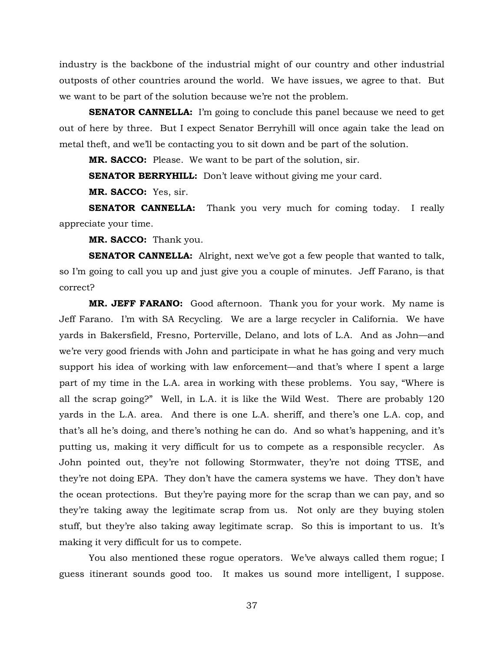industry is the backbone of the industrial might of our country and other industrial outposts of other countries around the world. We have issues, we agree to that. But we want to be part of the solution because we're not the problem.

**SENATOR CANNELLA:** I'm going to conclude this panel because we need to get out of here by three. But I expect Senator Berryhill will once again take the lead on metal theft, and we'll be contacting you to sit down and be part of the solution.

**MR. SACCO:** Please. We want to be part of the solution, sir.

**SENATOR BERRYHILL:** Don't leave without giving me your card.

**MR. SACCO:** Yes, sir.

**SENATOR CANNELLA:** Thank you very much for coming today. I really appreciate your time.

**MR. SACCO:** Thank you.

**SENATOR CANNELLA:** Alright, next we've got a few people that wanted to talk, so I'm going to call you up and just give you a couple of minutes. Jeff Farano, is that correct?

**MR. JEFF FARANO:** Good afternoon. Thank you for your work. My name is Jeff Farano. I'm with SA Recycling. We are a large recycler in California. We have yards in Bakersfield, Fresno, Porterville, Delano, and lots of L.A. And as John—and we're very good friends with John and participate in what he has going and very much support his idea of working with law enforcement—and that's where I spent a large part of my time in the L.A. area in working with these problems. You say, "Where is all the scrap going?" Well, in L.A. it is like the Wild West. There are probably 120 yards in the L.A. area. And there is one L.A. sheriff, and there's one L.A. cop, and that's all he's doing, and there's nothing he can do. And so what's happening, and it's putting us, making it very difficult for us to compete as a responsible recycler. As John pointed out, they're not following Stormwater, they're not doing TTSE, and they're not doing EPA. They don't have the camera systems we have. They don't have the ocean protections. But they're paying more for the scrap than we can pay, and so they're taking away the legitimate scrap from us. Not only are they buying stolen stuff, but they're also taking away legitimate scrap. So this is important to us. It's making it very difficult for us to compete.

You also mentioned these rogue operators. We've always called them rogue; I guess itinerant sounds good too. It makes us sound more intelligent, I suppose.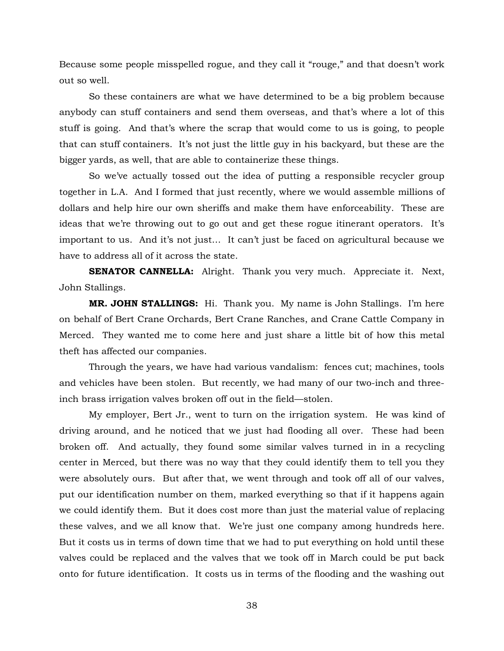Because some people misspelled rogue, and they call it "rouge," and that doesn't work out so well.

So these containers are what we have determined to be a big problem because anybody can stuff containers and send them overseas, and that's where a lot of this stuff is going. And that's where the scrap that would come to us is going, to people that can stuff containers. It's not just the little guy in his backyard, but these are the bigger yards, as well, that are able to containerize these things.

So we've actually tossed out the idea of putting a responsible recycler group together in L.A. And I formed that just recently, where we would assemble millions of dollars and help hire our own sheriffs and make them have enforceability. These are ideas that we're throwing out to go out and get these rogue itinerant operators. It's important to us. And it's not just… It can't just be faced on agricultural because we have to address all of it across the state.

**SENATOR CANNELLA:** Alright. Thank you very much. Appreciate it. Next, John Stallings.

**MR. JOHN STALLINGS:** Hi. Thank you. My name is John Stallings. I'm here on behalf of Bert Crane Orchards, Bert Crane Ranches, and Crane Cattle Company in Merced. They wanted me to come here and just share a little bit of how this metal theft has affected our companies.

Through the years, we have had various vandalism: fences cut; machines, tools and vehicles have been stolen. But recently, we had many of our two-inch and threeinch brass irrigation valves broken off out in the field—stolen.

My employer, Bert Jr., went to turn on the irrigation system. He was kind of driving around, and he noticed that we just had flooding all over. These had been broken off. And actually, they found some similar valves turned in in a recycling center in Merced, but there was no way that they could identify them to tell you they were absolutely ours. But after that, we went through and took off all of our valves, put our identification number on them, marked everything so that if it happens again we could identify them. But it does cost more than just the material value of replacing these valves, and we all know that. We're just one company among hundreds here. But it costs us in terms of down time that we had to put everything on hold until these valves could be replaced and the valves that we took off in March could be put back onto for future identification. It costs us in terms of the flooding and the washing out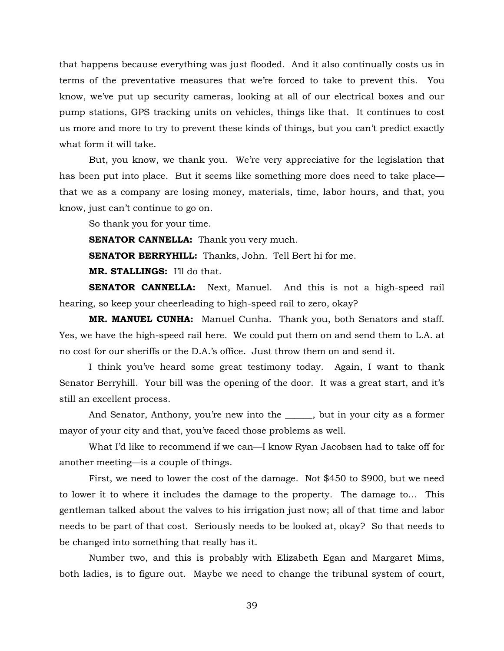that happens because everything was just flooded. And it also continually costs us in terms of the preventative measures that we're forced to take to prevent this. You know, we've put up security cameras, looking at all of our electrical boxes and our pump stations, GPS tracking units on vehicles, things like that. It continues to cost us more and more to try to prevent these kinds of things, but you can't predict exactly what form it will take.

But, you know, we thank you. We're very appreciative for the legislation that has been put into place. But it seems like something more does need to take place that we as a company are losing money, materials, time, labor hours, and that, you know, just can't continue to go on.

So thank you for your time.

**SENATOR CANNELLA:** Thank you very much.

**SENATOR BERRYHILL:** Thanks, John. Tell Bert hi for me.

**MR. STALLINGS:** I'll do that.

**SENATOR CANNELLA:** Next, Manuel. And this is not a high-speed rail hearing, so keep your cheerleading to high-speed rail to zero, okay?

**MR. MANUEL CUNHA:** Manuel Cunha. Thank you, both Senators and staff. Yes, we have the high-speed rail here. We could put them on and send them to L.A. at no cost for our sheriffs or the D.A.'s office. Just throw them on and send it.

I think you've heard some great testimony today. Again, I want to thank Senator Berryhill. Your bill was the opening of the door. It was a great start, and it's still an excellent process.

And Senator, Anthony, you're new into the \_\_\_\_\_, but in your city as a former mayor of your city and that, you've faced those problems as well.

What I'd like to recommend if we can—I know Ryan Jacobsen had to take off for another meeting—is a couple of things.

First, we need to lower the cost of the damage. Not \$450 to \$900, but we need to lower it to where it includes the damage to the property. The damage to… This gentleman talked about the valves to his irrigation just now; all of that time and labor needs to be part of that cost. Seriously needs to be looked at, okay? So that needs to be changed into something that really has it.

Number two, and this is probably with Elizabeth Egan and Margaret Mims, both ladies, is to figure out. Maybe we need to change the tribunal system of court,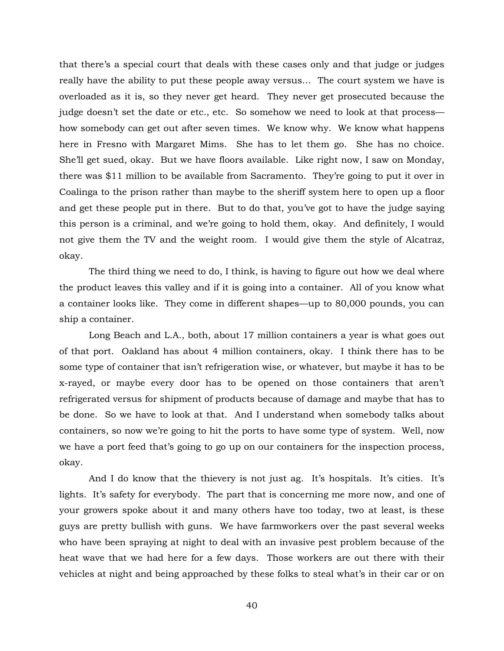that there's a special court that deals with these cases only and that judge or judges really have the ability to put these people away versus… The court system we have is overloaded as it is, so they never get heard. They never get prosecuted because the judge doesn't set the date or etc., etc. So somehow we need to look at that process how somebody can get out after seven times. We know why. We know what happens here in Fresno with Margaret Mims. She has to let them go. She has no choice. She'll get sued, okay. But we have floors available. Like right now, I saw on Monday, there was \$11 million to be available from Sacramento. They're going to put it over in Coalinga to the prison rather than maybe to the sheriff system here to open up a floor and get these people put in there. But to do that, you've got to have the judge saying this person is a criminal, and we're going to hold them, okay. And definitely, I would not give them the TV and the weight room. I would give them the style of Alcatraz, okay.

The third thing we need to do, I think, is having to figure out how we deal where the product leaves this valley and if it is going into a container. All of you know what a container looks like. They come in different shapes—up to 80,000 pounds, you can ship a container.

Long Beach and L.A., both, about 17 million containers a year is what goes out of that port. Oakland has about 4 million containers, okay. I think there has to be some type of container that isn't refrigeration wise, or whatever, but maybe it has to be x-rayed, or maybe every door has to be opened on those containers that aren't refrigerated versus for shipment of products because of damage and maybe that has to be done. So we have to look at that. And I understand when somebody talks about containers, so now we're going to hit the ports to have some type of system. Well, now we have a port feed that's going to go up on our containers for the inspection process, okay.

And I do know that the thievery is not just ag. It's hospitals. It's cities. It's lights. It's safety for everybody. The part that is concerning me more now, and one of your growers spoke about it and many others have too today, two at least, is these guys are pretty bullish with guns. We have farmworkers over the past several weeks who have been spraying at night to deal with an invasive pest problem because of the heat wave that we had here for a few days. Those workers are out there with their vehicles at night and being approached by these folks to steal what's in their car or on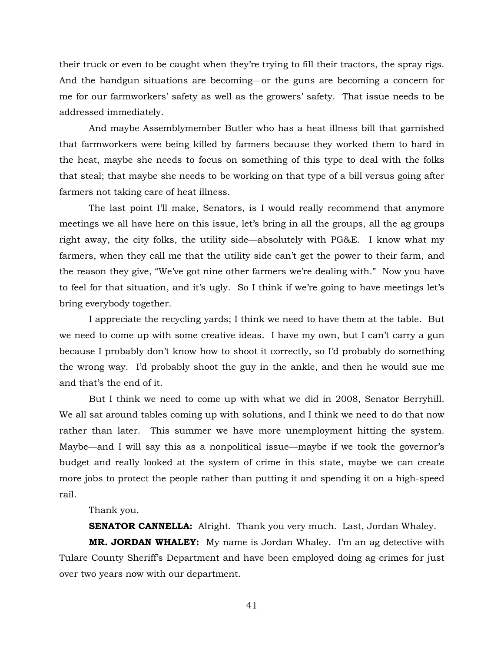their truck or even to be caught when they're trying to fill their tractors, the spray rigs. And the handgun situations are becoming—or the guns are becoming a concern for me for our farmworkers' safety as well as the growers' safety. That issue needs to be addressed immediately.

And maybe Assemblymember Butler who has a heat illness bill that garnished that farmworkers were being killed by farmers because they worked them to hard in the heat, maybe she needs to focus on something of this type to deal with the folks that steal; that maybe she needs to be working on that type of a bill versus going after farmers not taking care of heat illness.

The last point I'll make, Senators, is I would really recommend that anymore meetings we all have here on this issue, let's bring in all the groups, all the ag groups right away, the city folks, the utility side—absolutely with PG&E. I know what my farmers, when they call me that the utility side can't get the power to their farm, and the reason they give, "We've got nine other farmers we're dealing with." Now you have to feel for that situation, and it's ugly. So I think if we're going to have meetings let's bring everybody together.

I appreciate the recycling yards; I think we need to have them at the table. But we need to come up with some creative ideas. I have my own, but I can't carry a gun because I probably don't know how to shoot it correctly, so I'd probably do something the wrong way. I'd probably shoot the guy in the ankle, and then he would sue me and that's the end of it.

But I think we need to come up with what we did in 2008, Senator Berryhill. We all sat around tables coming up with solutions, and I think we need to do that now rather than later. This summer we have more unemployment hitting the system. Maybe—and I will say this as a nonpolitical issue—maybe if we took the governor's budget and really looked at the system of crime in this state, maybe we can create more jobs to protect the people rather than putting it and spending it on a high-speed rail.

# Thank you.

**SENATOR CANNELLA:** Alright. Thank you very much. Last, Jordan Whaley.

**MR. JORDAN WHALEY:** My name is Jordan Whaley. I'm an ag detective with Tulare County Sheriff's Department and have been employed doing ag crimes for just over two years now with our department.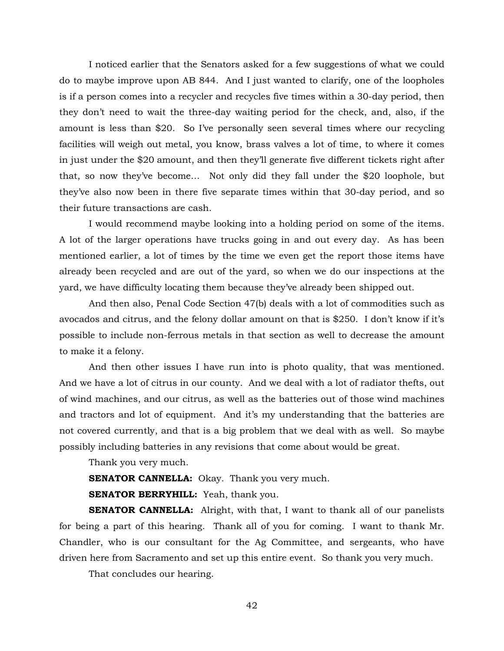I noticed earlier that the Senators asked for a few suggestions of what we could do to maybe improve upon AB 844. And I just wanted to clarify, one of the loopholes is if a person comes into a recycler and recycles five times within a 30-day period, then they don't need to wait the three-day waiting period for the check, and, also, if the amount is less than \$20. So I've personally seen several times where our recycling facilities will weigh out metal, you know, brass valves a lot of time, to where it comes in just under the \$20 amount, and then they'll generate five different tickets right after that, so now they've become… Not only did they fall under the \$20 loophole, but they've also now been in there five separate times within that 30-day period, and so their future transactions are cash.

I would recommend maybe looking into a holding period on some of the items. A lot of the larger operations have trucks going in and out every day. As has been mentioned earlier, a lot of times by the time we even get the report those items have already been recycled and are out of the yard, so when we do our inspections at the yard, we have difficulty locating them because they've already been shipped out.

And then also, Penal Code Section 47(b) deals with a lot of commodities such as avocados and citrus, and the felony dollar amount on that is \$250. I don't know if it's possible to include non-ferrous metals in that section as well to decrease the amount to make it a felony.

And then other issues I have run into is photo quality, that was mentioned. And we have a lot of citrus in our county. And we deal with a lot of radiator thefts, out of wind machines, and our citrus, as well as the batteries out of those wind machines and tractors and lot of equipment. And it's my understanding that the batteries are not covered currently, and that is a big problem that we deal with as well. So maybe possibly including batteries in any revisions that come about would be great.

Thank you very much.

**SENATOR CANNELLA:** Okay. Thank you very much.

**SENATOR BERRYHILL:** Yeah, thank you.

**SENATOR CANNELLA:** Alright, with that, I want to thank all of our panelists for being a part of this hearing. Thank all of you for coming. I want to thank Mr. Chandler, who is our consultant for the Ag Committee, and sergeants, who have driven here from Sacramento and set up this entire event. So thank you very much.

That concludes our hearing.